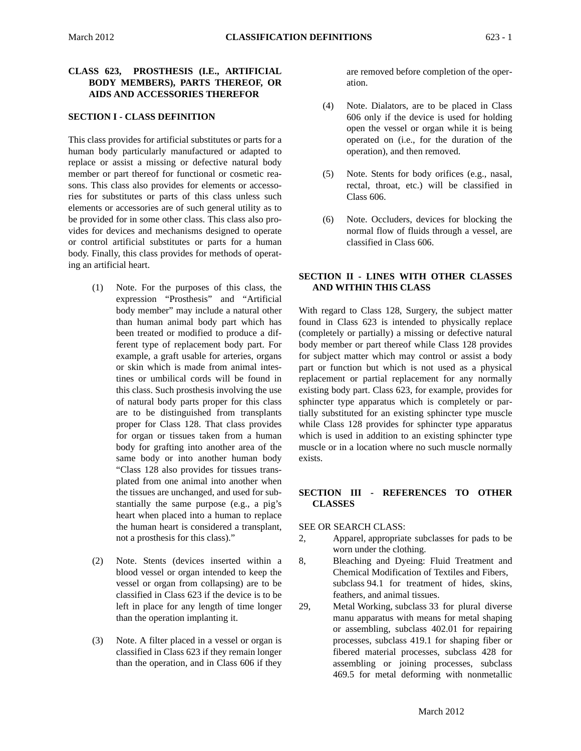# **CLASS 623, PROSTHESIS (I.E., ARTIFICIAL BODY MEMBERS), PARTS THEREOF, OR AIDS AND ACCESSORIES THEREFOR**

## **SECTION I - CLASS DEFINITION**

This class provides for artificial substitutes or parts for a human body particularly manufactured or adapted to replace or assist a missing or defective natural body member or part thereof for functional or cosmetic reasons. This class also provides for elements or accessories for substitutes or parts of this class unless such elements or accessories are of such general utility as to be provided for in some other class. This class also provides for devices and mechanisms designed to operate or control artificial substitutes or parts for a human body. Finally, this class provides for methods of operating an artificial heart.

- (1) Note. For the purposes of this class, the expression "Prosthesis" and "Artificial body member" may include a natural other than human animal body part which has been treated or modified to produce a different type of replacement body part. For example, a graft usable for arteries, organs or skin which is made from animal intestines or umbilical cords will be found in this class. Such prosthesis involving the use of natural body parts proper for this class are to be distinguished from transplants proper for Class 128. That class provides for organ or tissues taken from a human body for grafting into another area of the same body or into another human body "Class 128 also provides for tissues transplated from one animal into another when the tissues are unchanged, and used for substantially the same purpose (e.g., a pig's heart when placed into a human to replace the human heart is considered a transplant, not a prosthesis for this class)."
- (2) Note. Stents (devices inserted within a blood vessel or organ intended to keep the vessel or organ from collapsing) are to be classified in Class 623 if the device is to be left in place for any length of time longer than the operation implanting it.
- (3) Note. A filter placed in a vessel or organ is classified in Class 623 if they remain longer than the operation, and in Class 606 if they

are removed before completion of the operation.

- (4) Note. Dialators, are to be placed in Class 606 only if the device is used for holding open the vessel or organ while it is being operated on (i.e., for the duration of the operation), and then removed.
- (5) Note. Stents for body orifices (e.g., nasal, rectal, throat, etc.) will be classified in Class 606.
- (6) Note. Occluders, devices for blocking the normal flow of fluids through a vessel, are classified in Class 606.

# **SECTION II - LINES WITH OTHER CLASSES AND WITHIN THIS CLASS**

 muscle or in a location where no such muscle normally With regard to Class 128, Surgery, the subject matter found in Class 623 is intended to physically replace (completely or partially) a missing or defective natural body member or part thereof while Class 128 provides for subject matter which may control or assist a body part or function but which is not used as a physical replacement or partial replacement for any normally existing body part. Class 623, for example, provides for sphincter type apparatus which is completely or partially substituted for an existing sphincter type muscle while Class 128 provides for sphincter type apparatus which is used in addition to an existing sphincter type exists.

# **SECTION III - REFERENCES TO OTHER CLASSES**

# SEE OR SEARCH CLASS:

- 2, Apparel, appropriate subclasses for pads to be worn under the clothing.
- 8, Bleaching and Dyeing: Fluid Treatment and Chemical Modification of Textiles and Fibers, subclass 94.1 for treatment of hides, skins, feathers, and animal tissues.
- 29, Metal Working, subclass 33 for plural diverse manu apparatus with means for metal shaping or assembling, subclass 402.01 for repairing processes, subclass 419.1 for shaping fiber or fibered material processes, subclass 428 for assembling or joining processes, subclass 469.5 for metal deforming with nonmetallic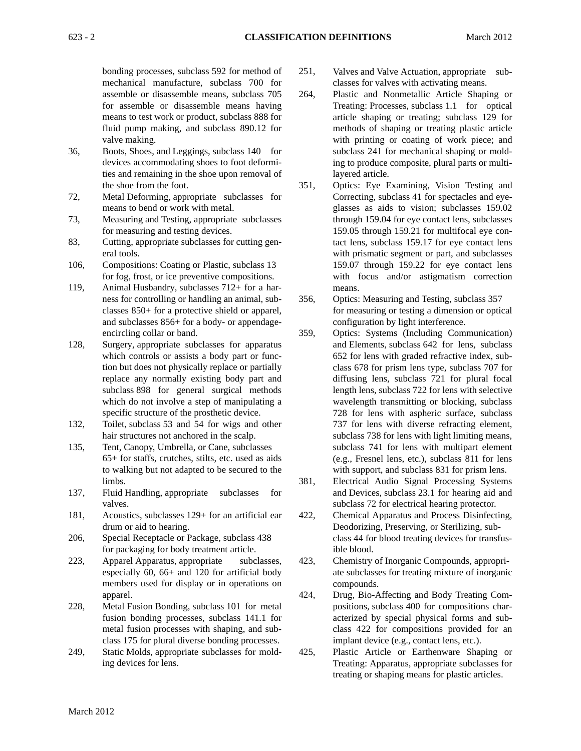bonding processes, subclass 592 for method of 251, mechanical manufacture, subclass 700 for assemble or disassemble means, subclass 705 264, for assemble or disassemble means having means to test work or product, subclass 888 for fluid pump making, and subclass 890.12 for valve making.

- 36, Boots, Shoes, and Leggings, subclass 140 for devices accommodating shoes to foot deformities and remaining in the shoe upon removal of the shoe from the foot. 351,
- 72, Metal Deforming, appropriate subclasses for means to bend or work with metal.
- 73, Measuring and Testing, appropriate subclasses for measuring and testing devices.
- 83, Cutting, appropriate subclasses for cutting general tools.
- 106, Compositions: Coating or Plastic, subclass 13 for fog, frost, or ice preventive compositions.
- 119, Animal Husbandry, subclasses 712+ for a harness for controlling or handling an animal, sub- 356, classes 850+ for a protective shield or apparel, and subclasses 856+ for a body- or appendageencircling collar or band. 359,
- 128, Surgery, appropriate subclasses for apparatus which controls or assists a body part or function but does not physically replace or partially replace any normally existing body part and subclass 898 for general surgical methods which do not involve a step of manipulating a specific structure of the prosthetic device.
- 132, Toilet, subclass 53 and 54 for wigs and other hair structures not anchored in the scalp.
- 135, Tent, Canopy, Umbrella, or Cane, subclasses 65+ for staffs, crutches, stilts, etc. used as aids to walking but not adapted to be secured to the limbs. 381,
- 137, Fluid Handling, appropriate subclasses for valves.
- 181, Acoustics, subclasses 129+ for an artificial ear 422, drum or aid to hearing.
- 206, Special Receptacle or Package, subclass 438 for packaging for body treatment article.
- 223, Apparel Apparatus, appropriate subclasses, 423, especially 60, 66+ and 120 for artificial body members used for display or in operations on apparel. 424,
- 228, Metal Fusion Bonding, subclass 101 for metal fusion bonding processes, subclass 141.1 for metal fusion processes with shaping, and subclass 175 for plural diverse bonding processes.
- 249, Static Molds, appropriate subclasses for mold- 425, ing devices for lens.
- Valves and Valve Actuation, appropriate subclasses for valves with activating means.
- Plastic and Nonmetallic Article Shaping or Treating: Processes, subclass 1.1 for optical article shaping or treating; subclass 129 for methods of shaping or treating plastic article with printing or coating of work piece; and subclass 241 for mechanical shaping or molding to produce composite, plural parts or multilayered article.
- Optics: Eye Examining, Vision Testing and Correcting, subclass 41 for spectacles and eyeglasses as aids to vision; subclasses 159.02 through 159.04 for eye contact lens, subclasses 159.05 through 159.21 for multifocal eye contact lens, subclass 159.17 for eye contact lens with prismatic segment or part, and subclasses 159.07 through 159.22 for eye contact lens with focus and/or astigmatism correction means.
- Optics: Measuring and Testing, subclass 357 for measuring or testing a dimension or optical configuration by light interference.
- with support, and subclass 831 for prism lens. Optics: Systems (Including Communication) and Elements, subclass 642 for lens, subclass 652 for lens with graded refractive index, subclass 678 for prism lens type, subclass 707 for diffusing lens, subclass 721 for plural focal length lens, subclass 722 for lens with selective wavelength transmitting or blocking, subclass 728 for lens with aspheric surface, subclass 737 for lens with diverse refracting element, subclass 738 for lens with light limiting means, subclass 741 for lens with multipart element (e.g., Fresnel lens, etc.), subclass 811 for lens
- Electrical Audio Signal Processing Systems and Devices, subclass 23.1 for hearing aid and subclass 72 for electrical hearing protector.
- Chemical Apparatus and Process Disinfecting, Deodorizing, Preserving, or Sterilizing, subclass 44 for blood treating devices for transfusible blood.
- Chemistry of Inorganic Compounds, appropriate subclasses for treating mixture of inorganic compounds.
- Drug, Bio-Affecting and Body Treating Compositions, subclass 400 for compositions characterized by special physical forms and subclass 422 for compositions provided for an implant device (e.g., contact lens, etc.).
- Plastic Article or Earthenware Shaping or Treating: Apparatus, appropriate subclasses for treating or shaping means for plastic articles.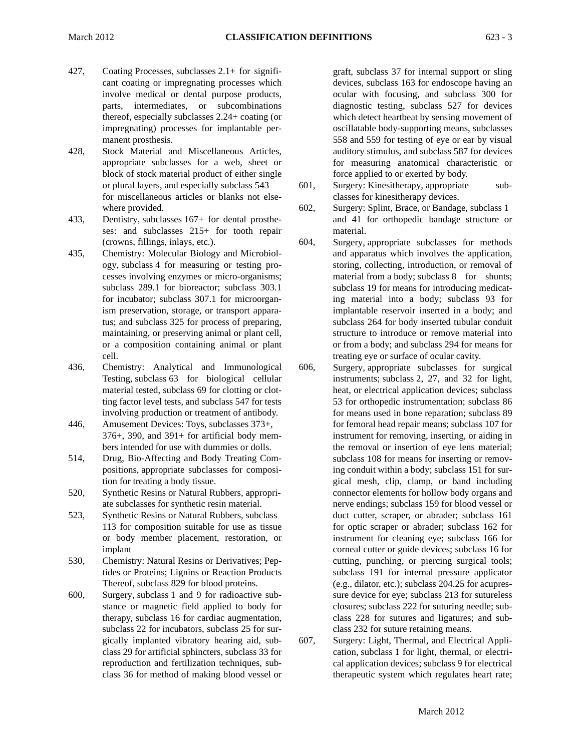- 427, Coating Processes, subclasses 2.1+ for significant coating or impregnating processes which involve medical or dental purpose products, parts, intermediates, or subcombinations thereof, especially subclasses 2.24+ coating (or impregnating) processes for implantable permanent prosthesis.
- 428, Stock Material and Miscellaneous Articles, appropriate subclasses for a web, sheet or block of stock material product of either single or plural layers, and especially subclass 543 601, for miscellaneous articles or blanks not elsewhere provided. 602,
- 433, Dentistry, subclasses 167+ for dental prostheses: and subclasses 215+ for tooth repair (crowns, fillings, inlays, etc.). 604,
- 435, Chemistry: Molecular Biology and Microbiology, subclass 4 for measuring or testing processes involving enzymes or micro-organisms; subclass 289.1 for bioreactor; subclass 303.1 for incubator; subclass 307.1 for microorganism preservation, storage, or transport apparatus; and subclass 325 for process of preparing, maintaining, or preserving animal or plant cell, or a composition containing animal or plant cell.
- 436, Chemistry: Analytical and Immunological 606, Testing, subclass 63 for biological cellular material tested, subclass 69 for clotting or clotting factor level tests, and subclass 547 for tests involving production or treatment of antibody.
- 446, Amusement Devices: Toys, subclasses 373+, 376+, 390, and 391+ for artificial body members intended for use with dummies or dolls.
- 514, Drug, Bio-Affecting and Body Treating Compositions, appropriate subclasses for composition for treating a body tissue.
- 520, Synthetic Resins or Natural Rubbers, appropriate subclasses for synthetic resin material.
- 523, Synthetic Resins or Natural Rubbers, subclass 113 for composition suitable for use as tissue or body member placement, restoration, or implant
- 530, Chemistry: Natural Resins or Derivatives; Peptides or Proteins; Lignins or Reaction Products Thereof, subclass 829 for blood proteins.
- 600, Surgery, subclass 1 and 9 for radioactive substance or magnetic field applied to body for therapy, subclass 16 for cardiac augmentation, subclass 22 for incubators, subclass 25 for surgically implanted vibratory hearing aid, sub- 607, class 29 for artificial sphincters, subclass 33 for reproduction and fertilization techniques, subclass 36 for method of making blood vessel or

 which detect heartbeat by sensing movement of graft, subclass 37 for internal support or sling devices, subclass 163 for endoscope having an ocular with focusing, and subclass 300 for diagnostic testing, subclass 527 for devices oscillatable body-supporting means, subclasses 558 and 559 for testing of eye or ear by visual auditory stimulus, and subclass 587 for devices for measuring anatomical characteristic or force applied to or exerted by body.

- Surgery: Kinesitherapy, appropriate subclasses for kinesitherapy devices.
- Surgery: Splint, Brace, or Bandage, subclass 1 and 41 for orthopedic bandage structure or material.
- Surgery, appropriate subclasses for methods and apparatus which involves the application, storing, collecting, introduction, or removal of material from a body; subclass 8 for shunts; subclass 19 for means for introducing medicating material into a body; subclass 93 for implantable reservoir inserted in a body; and subclass 264 for body inserted tubular conduit structure to introduce or remove material into or from a body; and subclass 294 for means for treating eye or surface of ocular cavity.
- subclass 108 for means for inserting or remov-Surgery, appropriate subclasses for surgical instruments; subclass 2, 27, and 32 for light, heat, or electrical application devices; subclass 53 for orthopedic instrumentation; subclass 86 for means used in bone reparation; subclass 89 for femoral head repair means; subclass 107 for instrument for removing, inserting, or aiding in the removal or insertion of eye lens material; ing conduit within a body; subclass 151 for surgical mesh, clip, clamp, or band including connector elements for hollow body organs and nerve endings; subclass 159 for blood vessel or duct cutter, scraper, or abrader; subclass 161 for optic scraper or abrader; subclass 162 for instrument for cleaning eye; subclass 166 for corneal cutter or guide devices; subclass 16 for cutting, punching, or piercing surgical tools; subclass 191 for internal pressure applicator (e.g., dilator, etc.); subclass 204.25 for acupressure device for eye; subclass 213 for sutureless closures; subclass 222 for suturing needle; subclass 228 for sutures and ligatures; and subclass 232 for suture retaining means.
- Surgery: Light, Thermal, and Electrical Application, subclass 1 for light, thermal, or electrical application devices; subclass 9 for electrical therapeutic system which regulates heart rate;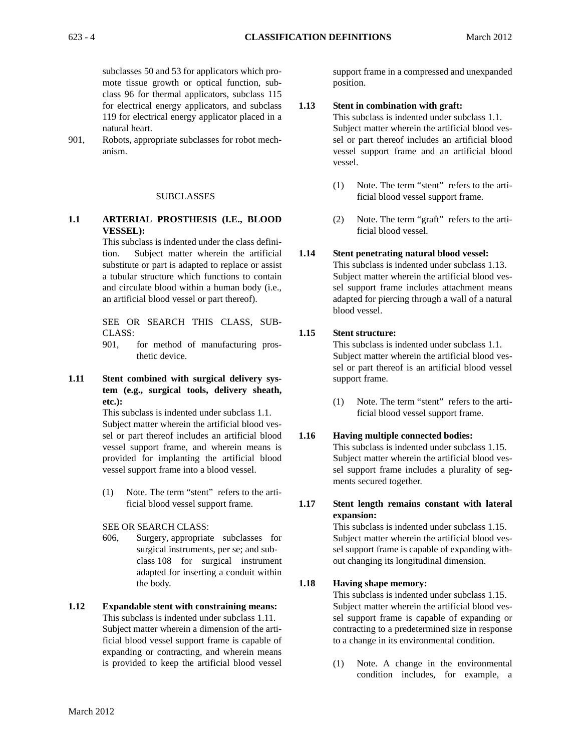subclasses 50 and 53 for applicators which promote tissue growth or optical function, subclass 96 for thermal applicators, subclass 115 for electrical energy applicators, and subclass 119 for electrical energy applicator placed in a natural heart.

901, Robots, appropriate subclasses for robot mechanism.

#### SUBCLASSES

**1.1 ARTERIAL PROSTHESIS (I.E., BLOOD VESSEL):** 

> and circulate blood within a human body (i.e., This subclass is indented under the class definition. Subject matter wherein the artificial substitute or part is adapted to replace or assist a tubular structure which functions to contain an artificial blood vessel or part thereof).

> SEE OR SEARCH THIS CLASS, SUB-CLASS:

- 901, for method of manufacturing prosthetic device.
- **1.11 Stent combined with surgical delivery system (e.g., surgical tools, delivery sheath, etc.):**

This subclass is indented under subclass 1.1. Subject matter wherein the artificial blood vessel or part thereof includes an artificial blood vessel support frame, and wherein means is provided for implanting the artificial blood vessel support frame into a blood vessel.

(1) Note. The term "stent" refers to the artificial blood vessel support frame. **1.17** 

SEE OR SEARCH CLASS:

- 606, Surgery, appropriate subclasses for surgical instruments, per se; and subclass 108 for surgical instrument adapted for inserting a conduit within the body. **1.18**
- **1.12 Expandable stent with constraining means:**  This subclass is indented under subclass 1.11. Subject matter wherein a dimension of the artificial blood vessel support frame is capable of expanding or contracting, and wherein means is provided to keep the artificial blood vessel

support frame in a compressed and unexpanded position.

#### **1.13 Stent in combination with graft:**

This subclass is indented under subclass 1.1. Subject matter wherein the artificial blood vessel or part thereof includes an artificial blood vessel support frame and an artificial blood vessel.

- (1) Note. The term "stent" refers to the artificial blood vessel support frame.
- (2) Note. The term "graft" refers to the artificial blood vessel.

#### **1.14 Stent penetrating natural blood vessel:**

This subclass is indented under subclass 1.13. Subject matter wherein the artificial blood vessel support frame includes attachment means adapted for piercing through a wall of a natural blood vessel.

#### **1.15 Stent structure:**

This subclass is indented under subclass 1.1. Subject matter wherein the artificial blood vessel or part thereof is an artificial blood vessel support frame.

(1) Note. The term "stent" refers to the artificial blood vessel support frame.

#### **1.16 Having multiple connected bodies:**

This subclass is indented under subclass 1.15. Subject matter wherein the artificial blood vessel support frame includes a plurality of segments secured together.

**Stent length remains constant with lateral expansion:** 

This subclass is indented under subclass 1.15. Subject matter wherein the artificial blood vessel support frame is capable of expanding without changing its longitudinal dimension.

#### **Having shape memory:**

This subclass is indented under subclass 1.15. Subject matter wherein the artificial blood vessel support frame is capable of expanding or contracting to a predetermined size in response to a change in its environmental condition.

(1) Note. A change in the environmental condition includes, for example, a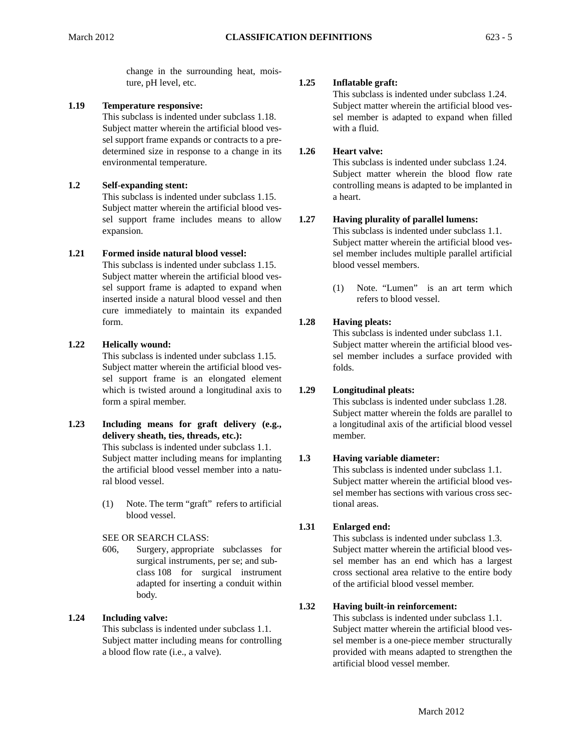ture, pH level, etc. **1.25**  change in the surrounding heat, mois-

# **1.19 Temperature responsive:**

This subclass is indented under subclass 1.18. Subject matter wherein the artificial blood vessel support frame expands or contracts to a predetermined size in response to a change in its **1.26**  environmental temperature.

# **1.2 Self-expanding stent:**

This subclass is indented under subclass 1.15. Subject matter wherein the artificial blood vessel support frame includes means to allow **1.27**  expansion.

# **1.21 Formed inside natural blood vessel:**

 inserted inside a natural blood vessel and then This subclass is indented under subclass 1.15. Subject matter wherein the artificial blood vessel support frame is adapted to expand when cure immediately to maintain its expanded form. **1.28** 

# **1.22 Helically wound:**

This subclass is indented under subclass 1.15. Subject matter wherein the artificial blood vessel support frame is an elongated element which is twisted around a longitudinal axis to **1.29**  form a spiral member.

- This subclass is indented under subclass 1.1. **1.23 Including means for graft delivery (e.g., delivery sheath, ties, threads, etc.):**  Subject matter including means for implanting 1.3 the artificial blood vessel member into a natural blood vessel.
	- (1) Note. The term "graft" refers to artificial blood vessel.

# SEE OR SEARCH CLASS:

606, Surgery, appropriate subclasses for surgical instruments, per se; and subclass 108 for surgical instrument adapted for inserting a conduit within body.

# **1.24 Including valve:**

This subclass is indented under subclass 1.1. Subject matter including means for controlling a blood flow rate (i.e., a valve).

# **Inflatable graft:**

This subclass is indented under subclass 1.24. Subject matter wherein the artificial blood vessel member is adapted to expand when filled with a fluid.

# **Heart valve:**

This subclass is indented under subclass 1.24. Subject matter wherein the blood flow rate controlling means is adapted to be implanted in a heart.

# **Having plurality of parallel lumens:**

This subclass is indented under subclass 1.1. Subject matter wherein the artificial blood vessel member includes multiple parallel artificial blood vessel members.

(1) Note. "Lumen" is an art term which refers to blood vessel.

# **Having pleats:**

This subclass is indented under subclass 1.1. Subject matter wherein the artificial blood vessel member includes a surface provided with folds.

# **Longitudinal pleats:**

This subclass is indented under subclass 1.28. Subject matter wherein the folds are parallel to a longitudinal axis of the artificial blood vessel member.

# **Having variable diameter:**

This subclass is indented under subclass 1.1. Subject matter wherein the artificial blood vessel member has sections with various cross sectional areas.

#### **1.31 Enlarged end:**

This subclass is indented under subclass 1.3. Subject matter wherein the artificial blood vessel member has an end which has a largest cross sectional area relative to the entire body of the artificial blood vessel member.

#### **1.32 Having built-in reinforcement:**

This subclass is indented under subclass 1.1. Subject matter wherein the artificial blood vessel member is a one-piece member structurally provided with means adapted to strengthen the artificial blood vessel member.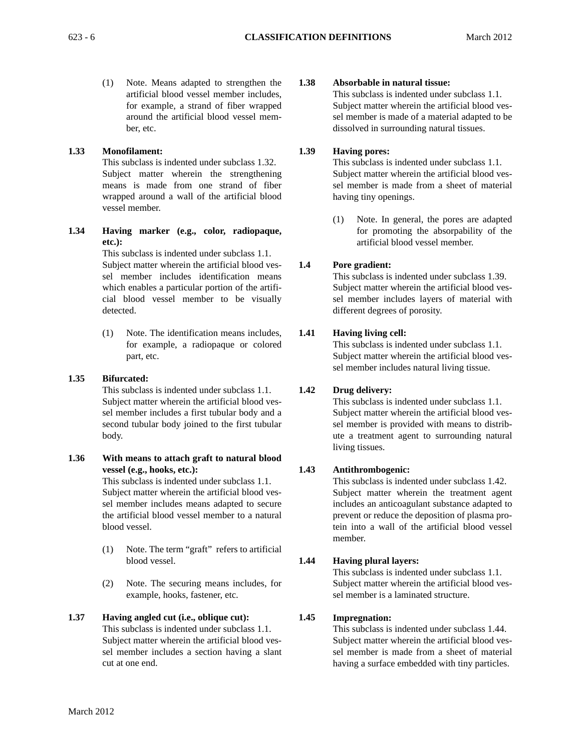(1) Note. Means adapted to strengthen the artificial blood vessel member includes, for example, a strand of fiber wrapped around the artificial blood vessel member, etc.

# **1.33 Monofilament:**

This subclass is indented under subclass 1.32. Subject matter wherein the strengthening means is made from one strand of fiber wrapped around a wall of the artificial blood vessel member.

**1.34 Having marker (e.g., color, radiopaque, etc.):** 

> This subclass is indented under subclass 1.1. Subject matter wherein the artificial blood vessel member includes identification means which enables a particular portion of the artificial blood vessel member to be visually detected.

> (1) Note. The identification means includes, for example, a radiopaque or colored part, etc.

# **1.35 Bifurcated:**

This subclass is indented under subclass 1.1. Subject matter wherein the artificial blood vessel member includes a first tubular body and a second tubular body joined to the first tubular body.

**1.36 With means to attach graft to natural blood vessel (e.g., hooks, etc.):** 

This subclass is indented under subclass 1.1. Subject matter wherein the artificial blood vessel member includes means adapted to secure the artificial blood vessel member to a natural blood vessel.

- (1) Note. The term "graft" refers to artificial blood vessel. **1.44**
- (2) Note. The securing means includes, for example, hooks, fastener, etc.

# **1.37 Having angled cut (i.e., oblique cut):**

This subclass is indented under subclass 1.1. Subject matter wherein the artificial blood vessel member includes a section having a slant cut at one end.

#### **1.38 Absorbable in natural tissue:**

This subclass is indented under subclass 1.1. Subject matter wherein the artificial blood vessel member is made of a material adapted to be dissolved in surrounding natural tissues.

#### **1.39 Having pores:**

This subclass is indented under subclass 1.1. Subject matter wherein the artificial blood vessel member is made from a sheet of material having tiny openings.

(1) Note. In general, the pores are adapted for promoting the absorpability of the artificial blood vessel member.

#### **1.4 Pore gradient:**

This subclass is indented under subclass 1.39. Subject matter wherein the artificial blood vessel member includes layers of material with different degrees of porosity.

#### **1.41 Having living cell:**

This subclass is indented under subclass 1.1. Subject matter wherein the artificial blood vessel member includes natural living tissue.

#### **1.42 Drug delivery:**

This subclass is indented under subclass 1.1. Subject matter wherein the artificial blood vessel member is provided with means to distribute a treatment agent to surrounding natural living tissues.

#### **1.43 Antithrombogenic:**

This subclass is indented under subclass 1.42. Subject matter wherein the treatment agent includes an anticoagulant substance adapted to prevent or reduce the deposition of plasma protein into a wall of the artificial blood vessel member.

# **Having plural layers:**

This subclass is indented under subclass 1.1. Subject matter wherein the artificial blood vessel member is a laminated structure.

#### **1.45 Impregnation:**

This subclass is indented under subclass 1.44. Subject matter wherein the artificial blood vessel member is made from a sheet of material having a surface embedded with tiny particles.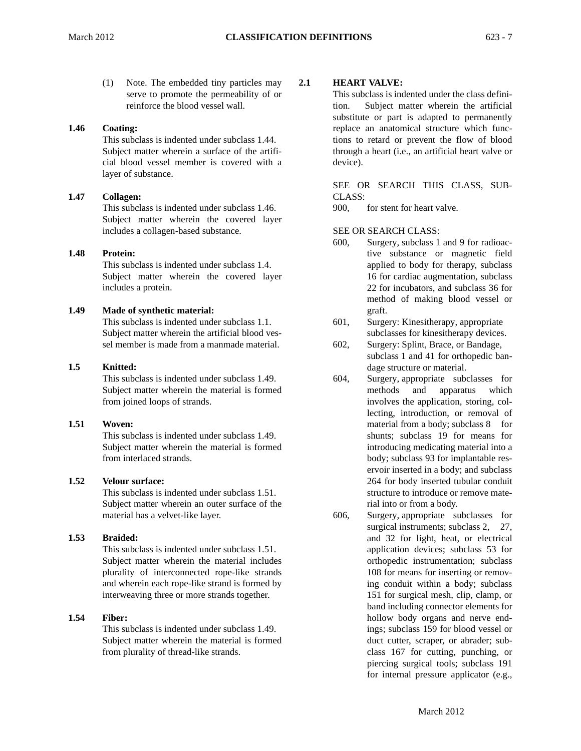(1) Note. The embedded tiny particles may serve to promote the permeability of or reinforce the blood vessel wall.

# **1.46 Coating:**

This subclass is indented under subclass 1.44. Subject matter wherein a surface of the artificial blood vessel member is covered with a layer of substance.

# **1.47 Collagen:**

This subclass is indented under subclass 1.46. Subject matter wherein the covered layer includes a collagen-based substance.

# **1.48 Protein:**

This subclass is indented under subclass 1.4. Subject matter wherein the covered layer includes a protein.

# **1.49 Made of synthetic material:**

This subclass is indented under subclass 1.1. Subject matter wherein the artificial blood vessel member is made from a manmade material.

# **1.5 Knitted:**

This subclass is indented under subclass 1.49. Subject matter wherein the material is formed from joined loops of strands.

# **1.51 Woven:**

This subclass is indented under subclass 1.49. Subject matter wherein the material is formed from interlaced strands.

# **1.52 Velour surface:**

This subclass is indented under subclass 1.51. Subject matter wherein an outer surface of the material has a velvet-like layer.

# **1.53 Braided:**

This subclass is indented under subclass 1.51. Subject matter wherein the material includes plurality of interconnected rope-like strands and wherein each rope-like strand is formed by interweaving three or more strands together.

# **1.54 Fiber:**

This subclass is indented under subclass 1.49. Subject matter wherein the material is formed from plurality of thread-like strands.

**2.1** 

# **HEART VALVE:**

This subclass is indented under the class definition. Subject matter wherein the artificial substitute or part is adapted to permanently replace an anatomical structure which functions to retard or prevent the flow of blood through a heart (i.e., an artificial heart valve or device).

SEE OR SEARCH THIS CLASS, SUB-CLASS:

900, for stent for heart valve.

# SEE OR SEARCH CLASS:

- 600, Surgery, subclass 1 and 9 for radioactive substance or magnetic field applied to body for therapy, subclass 16 for cardiac augmentation, subclass 22 for incubators, and subclass 36 for method of making blood vessel or graft.
- 601, Surgery: Kinesitherapy, appropriate subclasses for kinesitherapy devices.
- 602, Surgery: Splint, Brace, or Bandage, subclass 1 and 41 for orthopedic bandage structure or material.
- 604, Surgery, appropriate subclasses for methods and apparatus which involves the application, storing, collecting, introduction, or removal of material from a body; subclass 8 for shunts; subclass 19 for means for introducing medicating material into a body; subclass 93 for implantable reservoir inserted in a body; and subclass 264 for body inserted tubular conduit structure to introduce or remove material into or from a body.
- 606, Surgery, appropriate subclasses for surgical instruments; subclass 2, 27, and 32 for light, heat, or electrical application devices; subclass 53 for orthopedic instrumentation; subclass 108 for means for inserting or removing conduit within a body; subclass 151 for surgical mesh, clip, clamp, or band including connector elements for hollow body organs and nerve endings; subclass 159 for blood vessel or duct cutter, scraper, or abrader; subclass 167 for cutting, punching, or piercing surgical tools; subclass 191 for internal pressure applicator (e.g.,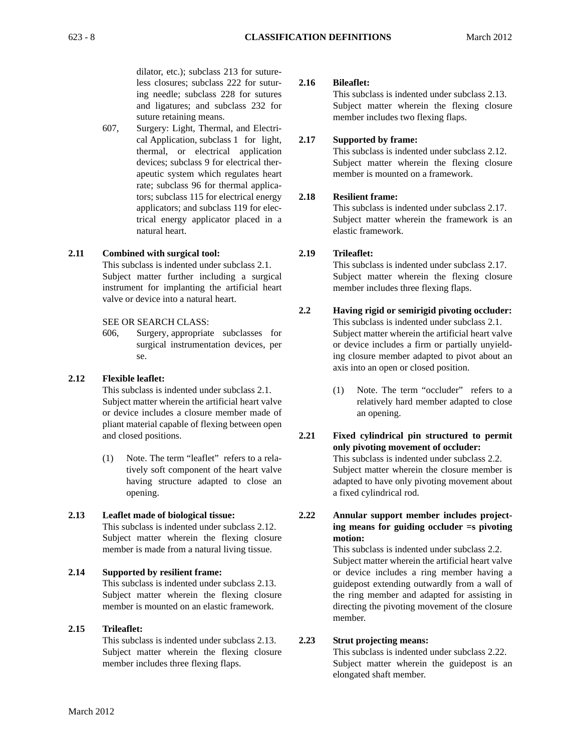dilator, etc.); subclass 213 for sutureless closures; subclass 222 for sutur- **2.16**  ing needle; subclass 228 for sutures and ligatures; and subclass 232 for suture retaining means.

607, Surgery: Light, Thermal, and Electrical Application, subclass 1 for light, **2.17**  thermal, or electrical application devices; subclass 9 for electrical therapeutic system which regulates heart rate; subclass 96 for thermal applicators; subclass 115 for electrical energy **2.18**  applicators; and subclass 119 for electrical energy applicator placed in a natural heart.

# **2.11 Combined with surgical tool: 2.19**

This subclass is indented under subclass 2.1. Subject matter further including a surgical instrument for implanting the artificial heart valve or device into a natural heart.

#### SEE OR SEARCH CLASS:

606, Surgery, appropriate subclasses for surgical instrumentation devices, per se.

# **2.12 Flexible leaflet:**

This subclass is indented under subclass 2.1. Subject matter wherein the artificial heart valve or device includes a closure member made of pliant material capable of flexing between open and closed positions. **2.21** 

 (1) Note. The term "leaflet" refers to a relatively soft component of the heart valve having structure adapted to close an opening.

# **2.13 Leaflet made of biological tissue: 2.22**

This subclass is indented under subclass 2.12. Subject matter wherein the flexing closure member is made from a natural living tissue.

# **2.14 Supported by resilient frame:**

This subclass is indented under subclass 2.13. Subject matter wherein the flexing closure member is mounted on an elastic framework.

#### **2.15 Trileaflet:**

This subclass is indented under subclass 2.13. **2.23**  Subject matter wherein the flexing closure member includes three flexing flaps.

## **Bileaflet:**

This subclass is indented under subclass 2.13. Subject matter wherein the flexing closure member includes two flexing flaps.

#### **Supported by frame:**

This subclass is indented under subclass 2.12. Subject matter wherein the flexing closure member is mounted on a framework.

## **Resilient frame:**

This subclass is indented under subclass 2.17. Subject matter wherein the framework is an elastic framework.

#### **Trileaflet:**

This subclass is indented under subclass 2.17. Subject matter wherein the flexing closure member includes three flexing flaps.

#### **2.2 Having rigid or semirigid pivoting occluder:**  This subclass is indented under subclass 2.1. Subject matter wherein the artificial heart valve or device includes a firm or partially unyield-

axis into an open or closed position. (1) Note. The term "occluder" refers to a relatively hard member adapted to close

ing closure member adapted to pivot about an

**Fixed cylindrical pin structured to permit only pivoting movement of occluder:**  This subclass is indented under subclass 2.2. Subject matter wherein the closure member is adapted to have only pivoting movement about a fixed cylindrical rod.

an opening.

# **Annular support member includes projecting means for guiding occluder =s pivoting motion:**

This subclass is indented under subclass 2.2. Subject matter wherein the artificial heart valve or device includes a ring member having a guidepost extending outwardly from a wall of the ring member and adapted for assisting in directing the pivoting movement of the closure member.

#### **Strut projecting means:**

This subclass is indented under subclass 2.22. Subject matter wherein the guidepost is an elongated shaft member.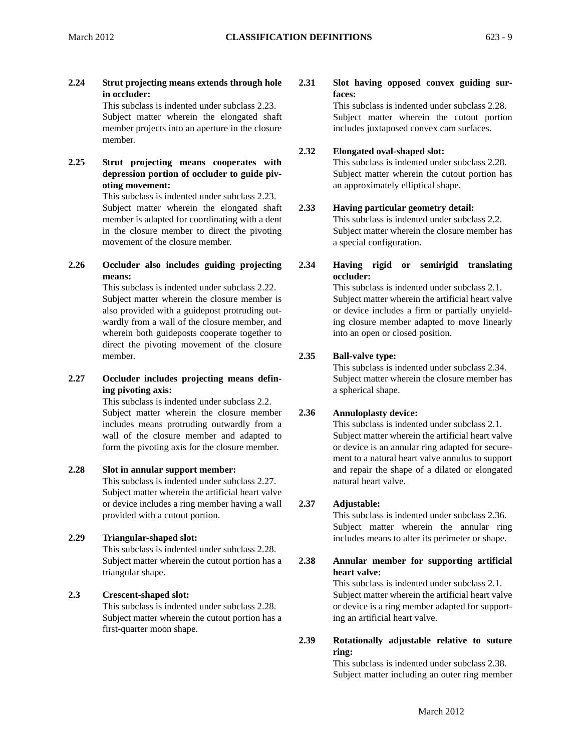**2.24 Strut projecting means extends through hole 2.31 in occluder:** 

This subclass is indented under subclass 2.23. Subject matter wherein the elongated shaft member projects into an aperture in the closure member.

**2.25 Strut projecting means cooperates with depression portion of occluder to guide pivoting movement:** 

> This subclass is indented under subclass 2.23. Subject matter wherein the elongated shaft **2.33**  member is adapted for coordinating with a dent in the closure member to direct the pivoting movement of the closure member.

**2.26 Occluder also includes guiding projecting 2.34 means:** 

This subclass is indented under subclass 2.22. Subject matter wherein the closure member is also provided with a guidepost protruding outwardly from a wall of the closure member, and wherein both guideposts cooperate together to direct the pivoting movement of the closure member. **2.35** 

**2.27 Occluder includes projecting means defining pivoting axis:** 

This subclass is indented under subclass 2.2. Subject matter wherein the closure member 2.36 includes means protruding outwardly from a wall of the closure member and adapted to form the pivoting axis for the closure member.

# **2.28 Slot in annular support member:**

 provided with a cutout portion. This subclass is indented under subclass 2.27. Subject matter wherein the artificial heart valve or device includes a ring member having a wall **2.37** 

# **2.29 Triangular-shaped slot:**

This subclass is indented under subclass 2.28. Subject matter wherein the cutout portion has a **2.38**  triangular shape.

# **2.3 Crescent-shaped slot:**

This subclass is indented under subclass 2.28. Subject matter wherein the cutout portion has a first-quarter moon shape.

# **Slot having opposed convex guiding surfaces:**

This subclass is indented under subclass 2.28. Subject matter wherein the cutout portion includes juxtaposed convex cam surfaces.

#### **2.32 Elongated oval-shaped slot:**

This subclass is indented under subclass 2.28. Subject matter wherein the cutout portion has an approximately elliptical shape.

# **Having particular geometry detail:**

This subclass is indented under subclass 2.2. Subject matter wherein the closure member has a special configuration.

**Having rigid or semirigid translating occluder:** 

This subclass is indented under subclass 2.1. Subject matter wherein the artificial heart valve or device includes a firm or partially unyielding closure member adapted to move linearly into an open or closed position.

# **Ball-valve type:**

This subclass is indented under subclass 2.34. Subject matter wherein the closure member has a spherical shape.

# **Annuloplasty device:**

This subclass is indented under subclass 2.1. Subject matter wherein the artificial heart valve or device is an annular ring adapted for securement to a natural heart valve annulus to support and repair the shape of a dilated or elongated natural heart valve.

# **Adjustable:**

This subclass is indented under subclass 2.36. Subject matter wherein the annular ring includes means to alter its perimeter or shape.

# **Annular member for supporting artificial heart valve:**

This subclass is indented under subclass 2.1. Subject matter wherein the artificial heart valve or device is a ring member adapted for supporting an artificial heart valve.

#### **2.39 Rotationally adjustable relative to suture ring:**

This subclass is indented under subclass 2.38. Subject matter including an outer ring member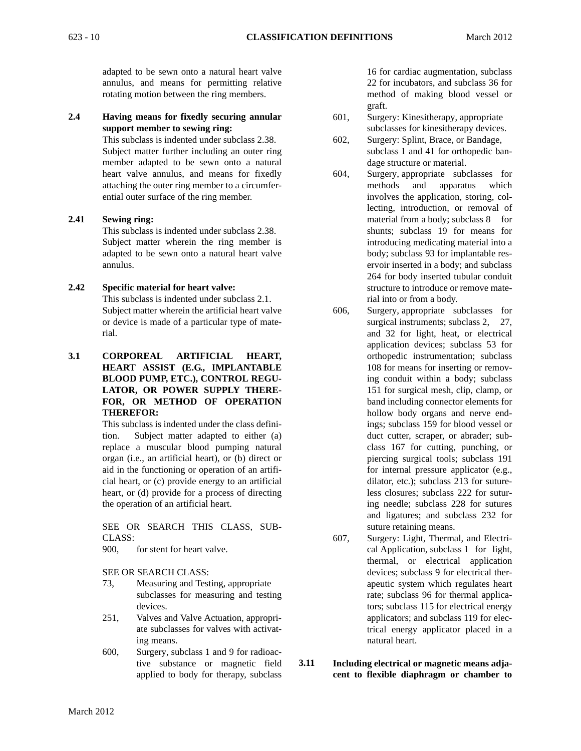adapted to be sewn onto a natural heart valve annulus, and means for permitting relative rotating motion between the ring members.

# **2.4 Having means for fixedly securing annular support member to sewing ring:**

This subclass is indented under subclass 2.38. Subject matter further including an outer ring member adapted to be sewn onto a natural heart valve annulus, and means for fixedly attaching the outer ring member to a circumferential outer surface of the ring member.

# **2.41 Sewing ring:**

This subclass is indented under subclass 2.38. Subject matter wherein the ring member is adapted to be sewn onto a natural heart valve annulus.

# **2.42 Specific material for heart valve:**

This subclass is indented under subclass 2.1. Subject matter wherein the artificial heart valve or device is made of a particular type of material.

**3.1 CORPOREAL ARTIFICIAL HEART, HEART ASSIST (E.G., IMPLANTABLE BLOOD PUMP, ETC.), CONTROL REGU-LATOR, OR POWER SUPPLY THERE-FOR, OR METHOD OF OPERATION THEREFOR:** 

> This subclass is indented under the class definition. Subject matter adapted to either (a) replace a muscular blood pumping natural organ (i.e., an artificial heart), or (b) direct or aid in the functioning or operation of an artificial heart, or (c) provide energy to an artificial heart, or (d) provide for a process of directing the operation of an artificial heart.

SEE OR SEARCH THIS CLASS, SUB-CLASS:

900, for stent for heart valve.

SEE OR SEARCH CLASS:

- 73, Measuring and Testing, appropriate subclasses for measuring and testing devices.
- 251, Valves and Valve Actuation, appropriate subclasses for valves with activating means.
- 600, Surgery, subclass 1 and 9 for radioactive substance or magnetic field **3.11**  applied to body for therapy, subclass

16 for cardiac augmentation, subclass 22 for incubators, and subclass 36 for method of making blood vessel or graft.

- 601, Surgery: Kinesitherapy, appropriate subclasses for kinesitherapy devices.
- 602, Surgery: Splint, Brace, or Bandage, subclass 1 and 41 for orthopedic bandage structure or material.
- 604, Surgery, appropriate subclasses for methods and apparatus which involves the application, storing, collecting, introduction, or removal of material from a body; subclass 8 for shunts; subclass 19 for means for introducing medicating material into a body; subclass 93 for implantable reservoir inserted in a body; and subclass 264 for body inserted tubular conduit structure to introduce or remove material into or from a body.
- and ligatures; and subclass 232 for 606, Surgery, appropriate subclasses for surgical instruments; subclass 2, 27, and 32 for light, heat, or electrical application devices; subclass 53 for orthopedic instrumentation; subclass 108 for means for inserting or removing conduit within a body; subclass 151 for surgical mesh, clip, clamp, or band including connector elements for hollow body organs and nerve endings; subclass 159 for blood vessel or duct cutter, scraper, or abrader; subclass 167 for cutting, punching, or piercing surgical tools; subclass 191 for internal pressure applicator (e.g., dilator, etc.); subclass 213 for sutureless closures; subclass 222 for suturing needle; subclass 228 for sutures suture retaining means.
- 607, Surgery: Light, Thermal, and Electrical Application, subclass 1 for light, thermal, or electrical application devices; subclass 9 for electrical therapeutic system which regulates heart rate; subclass 96 for thermal applicators; subclass 115 for electrical energy applicators; and subclass 119 for electrical energy applicator placed in a natural heart.
- **Including electrical or magnetic means adjacent to flexible diaphragm or chamber to**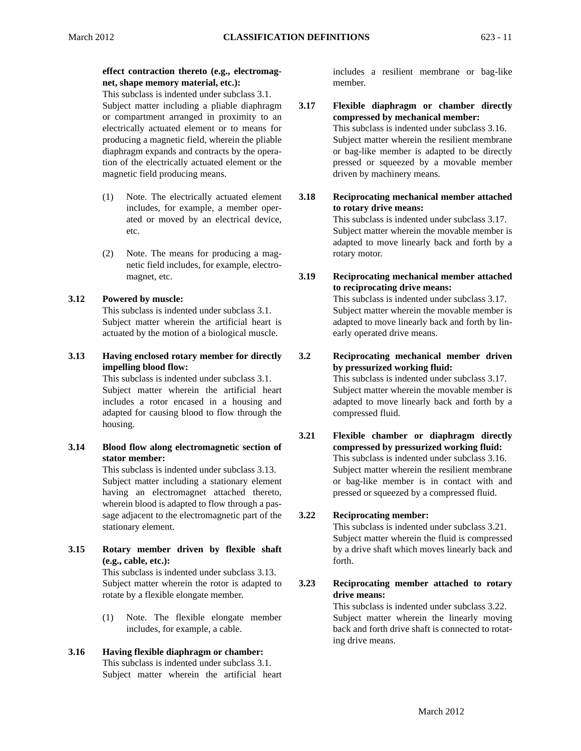# **effect contraction thereto (e.g., electromagnet, shape memory material, etc.):**

This subclass is indented under subclass 3.1. Subject matter including a pliable diaphragm or compartment arranged in proximity to an electrically actuated element or to means for producing a magnetic field, wherein the pliable diaphragm expands and contracts by the operation of the electrically actuated element or the magnetic field producing means.

- (1) Note. The electrically actuated element includes, for example, a member operated or moved by an electrical device, etc.
- (2) Note. The means for producing a magnetic field includes, for example, electromagnet, etc. **3.19**

# **3.12 Powered by muscle:**

This subclass is indented under subclass 3.1. Subject matter wherein the artificial heart is actuated by the motion of a biological muscle.

# **3.13 Having enclosed rotary member for directly 3.2 impelling blood flow:**<br>This subclass is indented under subclass 3.1. **impelling blood flow:**

This subclass is indented under subclass 3.1. Subject matter wherein the artificial heart includes a rotor encased in a housing and adapted for causing blood to flow through the housing.

# **3.14 Blood flow along electromagnetic section of stator member:**

 wherein blood is adapted to flow through a pas-This subclass is indented under subclass 3.13. Subject matter including a stationary element having an electromagnet attached thereto, sage adjacent to the electromagnetic part of the stationary element.

**3.15 Rotary member driven by flexible shaft (e.g., cable, etc.):** 

 rotate by a flexible elongate member. This subclass is indented under subclass 3.13. Subject matter wherein the rotor is adapted to

(1) Note. The flexible elongate member includes, for example, a cable.

# **3.16 Having flexible diaphragm or chamber:**

This subclass is indented under subclass 3.1. Subject matter wherein the artificial heart includes a resilient membrane or bag-like member.

- **3.17 Flexible diaphragm or chamber directly compressed by mechanical member:**  This subclass is indented under subclass 3.16. Subject matter wherein the resilient membrane or bag-like member is adapted to be directly pressed or squeezed by a movable member driven by machinery means.
- **3.18 Reciprocating mechanical member attached to rotary drive means:**

This subclass is indented under subclass 3.17. Subject matter wherein the movable member is adapted to move linearly back and forth by a rotary motor.

**Reciprocating mechanical member attached to reciprocating drive means:** 

This subclass is indented under subclass 3.17. Subject matter wherein the movable member is adapted to move linearly back and forth by linearly operated drive means.

**Reciprocating mechanical member driven by pressurized working fluid:** 

> This subclass is indented under subclass 3.17. Subject matter wherein the movable member is adapted to move linearly back and forth by a compressed fluid.

**3.21 Flexible chamber or diaphragm directly compressed by pressurized working fluid:**  This subclass is indented under subclass 3.16. Subject matter wherein the resilient membrane or bag-like member is in contact with and pressed or squeezed by a compressed fluid.

#### **3.22 Reciprocating member:**

This subclass is indented under subclass 3.21. Subject matter wherein the fluid is compressed by a drive shaft which moves linearly back and forth.

**3.23 Reciprocating member attached to rotary drive means:** 

This subclass is indented under subclass 3.22. Subject matter wherein the linearly moving back and forth drive shaft is connected to rotating drive means.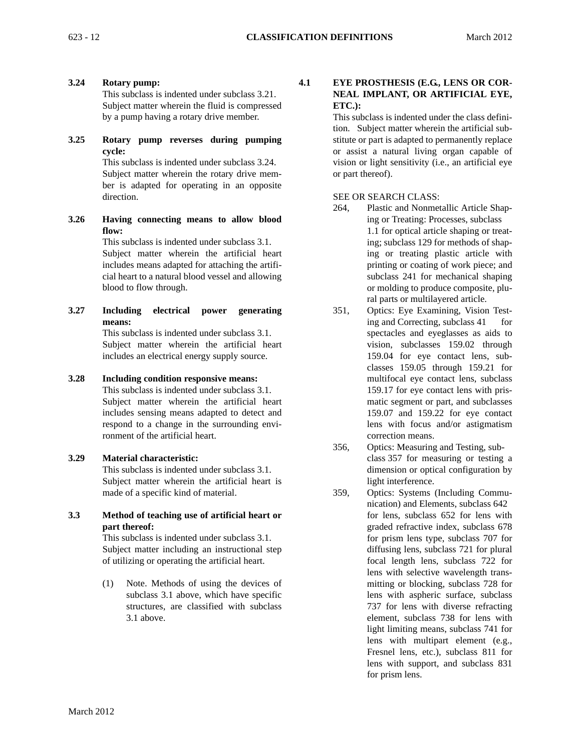**3.24 Rotary pump:** 

This subclass is indented under subclass 3.21. Subject matter wherein the fluid is compressed by a pump having a rotary drive member.

**3.25 Rotary pump reverses during pumping cycle:** 

This subclass is indented under subclass 3.24. Subject matter wherein the rotary drive member is adapted for operating in an opposite direction.

**3.26 Having connecting means to allow blood flow:** 

This subclass is indented under subclass 3.1. Subject matter wherein the artificial heart includes means adapted for attaching the artificial heart to a natural blood vessel and allowing blood to flow through.

This subclass is indented under subclass 3.1. **3.27 Including means: electrical power generating** 

Subject matter wherein the artificial heart includes an electrical energy supply source.

# **3.28 Including condition responsive means:**

This subclass is indented under subclass 3.1. respond to a change in the surrounding envi-Subject matter wherein the artificial heart includes sensing means adapted to detect and ronment of the artificial heart.

# **3.29 Material characteristic:**

This subclass is indented under subclass 3.1. Subject matter wherein the artificial heart is made of a specific kind of material.

**3.3 Method of teaching use of artificial heart or part thereof:** 

This subclass is indented under subclass 3.1. Subject matter including an instructional step of utilizing or operating the artificial heart.

(1) Note. Methods of using the devices of subclass 3.1 above, which have specific structures, are classified with subclass 3.1 above.

#### **4.1 EYE PROSTHESIS (E.G., LENS OR COR-NEAL IMPLANT, OR ARTIFICIAL EYE, ETC.):**

 vision or light sensitivity (i.e., an artificial eye This subclass is indented under the class definition. Subject matter wherein the artificial substitute or part is adapted to permanently replace or assist a natural living organ capable of or part thereof).

# SEE OR SEARCH CLASS:

- 264, Plastic and Nonmetallic Article Shaping or Treating: Processes, subclass 1.1 for optical article shaping or treating; subclass 129 for methods of shaping or treating plastic article with printing or coating of work piece; and subclass 241 for mechanical shaping or molding to produce composite, plural parts or multilayered article.
- 351, Optics: Eye Examining, Vision Testing and Correcting, subclass 41 for spectacles and eyeglasses as aids to vision, subclasses 159.02 through 159.04 for eye contact lens, subclasses 159.05 through 159.21 for multifocal eye contact lens, subclass 159.17 for eye contact lens with prismatic segment or part, and subclasses 159.07 and 159.22 for eye contact lens with focus and/or astigmatism correction means.
- 356, Optics: Measuring and Testing, subclass 357 for measuring or testing a dimension or optical configuration by light interference.
- 359, Optics: Systems (Including Communication) and Elements, subclass 642 for lens, subclass 652 for lens with graded refractive index, subclass 678 for prism lens type, subclass 707 for diffusing lens, subclass 721 for plural focal length lens, subclass 722 for lens with selective wavelength transmitting or blocking, subclass 728 for lens with aspheric surface, subclass 737 for lens with diverse refracting element, subclass 738 for lens with light limiting means, subclass 741 for lens with multipart element (e.g., Fresnel lens, etc.), subclass 811 for lens with support, and subclass 831 for prism lens.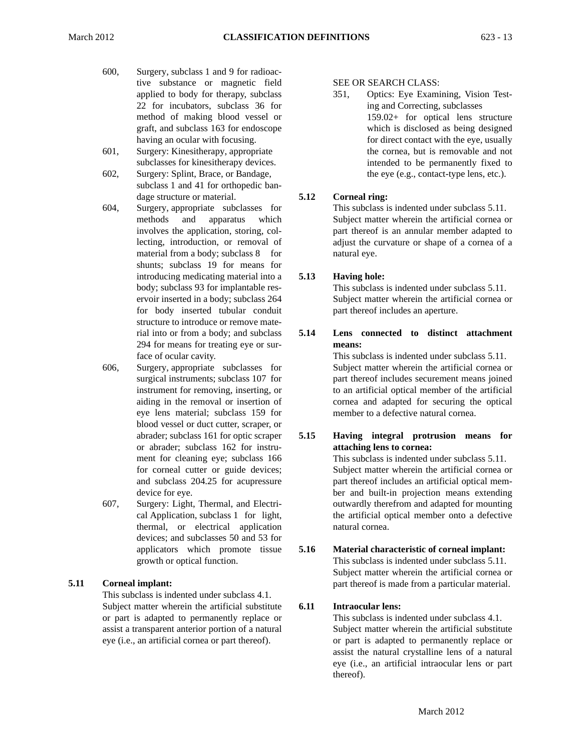- 600, Surgery, subclass 1 and 9 for radioactive substance or magnetic field applied to body for therapy, subclass 22 for incubators, subclass 36 for method of making blood vessel or graft, and subclass 163 for endoscope having an ocular with focusing.
- 601, Surgery: Kinesitherapy, appropriate subclasses for kinesitherapy devices.
- 602, Surgery: Splint, Brace, or Bandage, subclass 1 and 41 for orthopedic bandage structure or material. **5.12**
- 604, Surgery, appropriate subclasses for methods and apparatus which involves the application, storing, collecting, introduction, or removal of material from a body; subclass 8 for shunts; subclass 19 for means for introducing medicating material into a **5.13**  body; subclass 93 for implantable reservoir inserted in a body; subclass 264 for body inserted tubular conduit structure to introduce or remove material into or from a body; and subclass **5.14**  294 for means for treating eye or surface of ocular cavity.
- blood vessel or duct cutter, scraper, or 606, Surgery, appropriate subclasses for surgical instruments; subclass 107 for instrument for removing, inserting, or aiding in the removal or insertion of eye lens material; subclass 159 for abrader; subclass 161 for optic scraper **5.15**  or abrader; subclass 162 for instrument for cleaning eye; subclass 166 for corneal cutter or guide devices; and subclass 204.25 for acupressure device for eye.
- 607, Surgery: Light, Thermal, and Electrical Application, subclass 1 for light, thermal, or electrical application devices; and subclasses 50 and 53 for applicators which promote tissue **5.16**  growth or optical function.

# **5.11 Corneal implant:**

This subclass is indented under subclass 4.1. Subject matter wherein the artificial substitute **6.11** or part is adapted to permanently replace or assist a transparent anterior portion of a natural eye (i.e., an artificial cornea or part thereof).

# SEE OR SEARCH CLASS:

351, Optics: Eye Examining, Vision Testing and Correcting, subclasses 159.02+ for optical lens structure which is disclosed as being designed for direct contact with the eye, usually the cornea, but is removable and not intended to be permanently fixed to the eye (e.g., contact-type lens, etc.).

## **Corneal ring:**

This subclass is indented under subclass 5.11. Subject matter wherein the artificial cornea or part thereof is an annular member adapted to adjust the curvature or shape of a cornea of a natural eye.

## **Having hole:**

This subclass is indented under subclass 5.11. Subject matter wherein the artificial cornea or part thereof includes an aperture.

**Lens connected to distinct attachment means:** 

This subclass is indented under subclass 5.11. Subject matter wherein the artificial cornea or part thereof includes securement means joined to an artificial optical member of the artificial cornea and adapted for securing the optical member to a defective natural cornea.

**Having integral protrusion means for attaching lens to cornea:**  This subclass is indented under subclass 5.11. Subject matter wherein the artificial cornea or part thereof includes an artificial optical member and built-in projection means extending outwardly therefrom and adapted for mounting the artificial optical member onto a defective natural cornea.

**Material characteristic of corneal implant:**  This subclass is indented under subclass 5.11. Subject matter wherein the artificial cornea or part thereof is made from a particular material.

# **Intraocular lens:**

 eye (i.e., an artificial intraocular lens or part This subclass is indented under subclass 4.1. Subject matter wherein the artificial substitute or part is adapted to permanently replace or assist the natural crystalline lens of a natural thereof).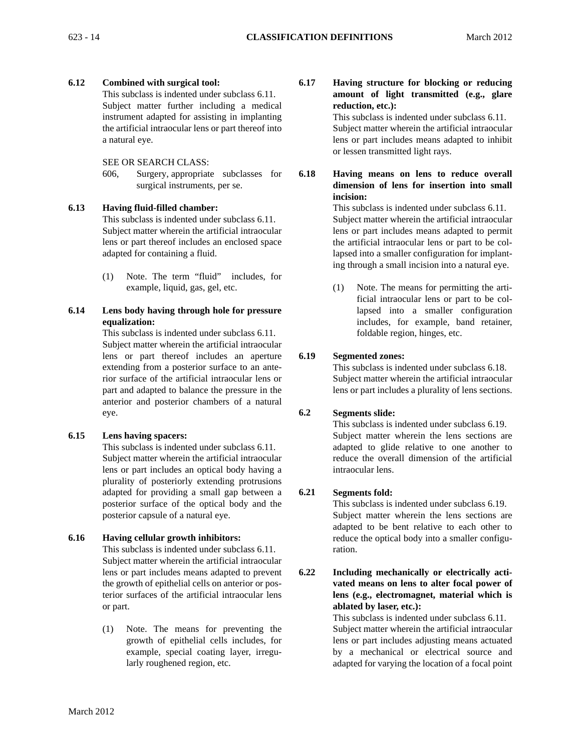# **6.12 Combined with surgical tool:**

 the artificial intraocular lens or part thereof into This subclass is indented under subclass 6.11. Subject matter further including a medical instrument adapted for assisting in implanting a natural eye.

# SEE OR SEARCH CLASS:

606, Surgery, appropriate subclasses surgical instruments, per se.

# **6.13 Having fluid-filled chamber:**

This subclass is indented under subclass 6.11. Subject matter wherein the artificial intraocular lens or part thereof includes an enclosed space adapted for containing a fluid.

(1) Note. The term "fluid" includes, for example, liquid, gas, gel, etc.

# **6.14 Lens body having through hole for pressure equalization:**

This subclass is indented under subclass 6.11. Subject matter wherein the artificial intraocular lens or part thereof includes an aperture extending from a posterior surface to an anterior surface of the artificial intraocular lens or part and adapted to balance the pressure in the anterior and posterior chambers of a natural eye. **6.2** 

# **6.15 Lens having spacers:**

This subclass is indented under subclass 6.11. Subject matter wherein the artificial intraocular lens or part includes an optical body having a plurality of posteriorly extending protrusions adapted for providing a small gap between a posterior surface of the optical body and the posterior capsule of a natural eye.

# **6.16 Having cellular growth inhibitors:**

This subclass is indented under subclass 6.11. Subject matter wherein the artificial intraocular lens or part includes means adapted to prevent the growth of epithelial cells on anterior or posterior surfaces of the artificial intraocular lens or part.

(1) Note. The means for preventing the growth of epithelial cells includes, for example, special coating layer, irregularly roughened region, etc.

**6.17 Having structure for blocking or reducing amount of light transmitted (e.g., glare reduction, etc.):** 

This subclass is indented under subclass 6.11. Subject matter wherein the artificial intraocular lens or part includes means adapted to inhibit or lessen transmitted light rays.

for **6.18 Having means on lens to reduce overall dimension of lens for insertion into small incision:** 

> lapsed into a smaller configuration for implant-This subclass is indented under subclass 6.11. Subject matter wherein the artificial intraocular lens or part includes means adapted to permit the artificial intraocular lens or part to be coling through a small incision into a natural eye.

> (1) Note. The means for permitting the artificial intraocular lens or part to be collapsed into a smaller configuration includes, for example, band retainer, foldable region, hinges, etc.

#### **6.19 Segmented zones:**

This subclass is indented under subclass 6.18. Subject matter wherein the artificial intraocular lens or part includes a plurality of lens sections.

# **Segments slide:**

This subclass is indented under subclass 6.19. Subject matter wherein the lens sections are adapted to glide relative to one another to reduce the overall dimension of the artificial intraocular lens.

#### **6.21 Segments fold:**

This subclass is indented under subclass 6.19. Subject matter wherein the lens sections are adapted to be bent relative to each other to reduce the optical body into a smaller configuration.

**6.22 Including mechanically or electrically activated means on lens to alter focal power of lens (e.g., electromagnet, material which is ablated by laser, etc.):** 

> This subclass is indented under subclass 6.11. Subject matter wherein the artificial intraocular lens or part includes adjusting means actuated by a mechanical or electrical source and adapted for varying the location of a focal point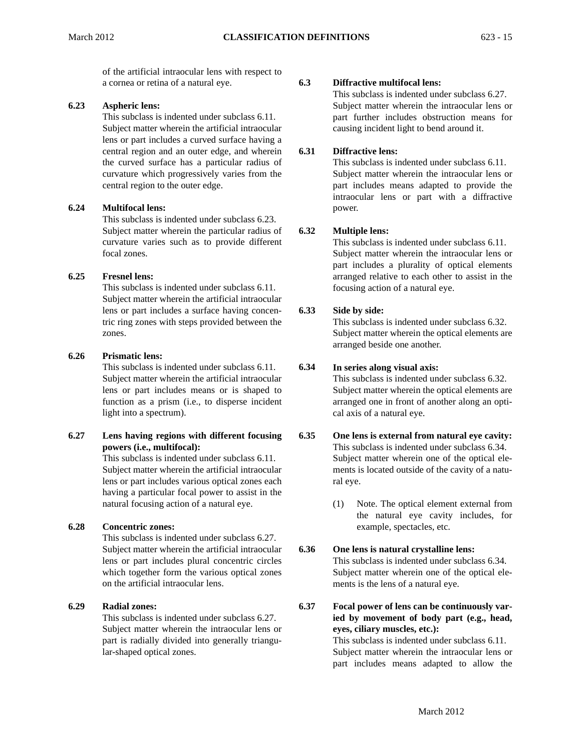of the artificial intraocular lens with respect to a cornea or retina of a natural eye. **6.3** 

# **6.23 Aspheric lens:**

This subclass is indented under subclass 6.11. Subject matter wherein the artificial intraocular lens or part includes a curved surface having a central region and an outer edge, and wherein the curved surface has a particular radius of curvature which progressively varies from the central region to the outer edge.

# **6.24 Multifocal lens:**

This subclass is indented under subclass 6.23. Subject matter wherein the particular radius of curvature varies such as to provide different focal zones.

# **6.25 Fresnel lens:**

This subclass is indented under subclass 6.11. Subject matter wherein the artificial intraocular lens or part includes a surface having concentric ring zones with steps provided between the zones.

# **6.26 Prismatic lens:**

This subclass is indented under subclass 6.11. **6.34**  Subject matter wherein the artificial intraocular lens or part includes means or is shaped to function as a prism (i.e., to disperse incident light into a spectrum).

# **6.27 Lens having regions with different focusing powers (i.e., multifocal):**

This subclass is indented under subclass 6.11. Subject matter wherein the artificial intraocular lens or part includes various optical zones each having a particular focal power to assist in the natural focusing action of a natural eye.

# **6.28 Concentric zones:**

This subclass is indented under subclass 6.27. Subject matter wherein the artificial intraocular lens or part includes plural concentric circles which together form the various optical zones on the artificial intraocular lens.

# **6.29 Radial zones: 6.37**

This subclass is indented under subclass 6.27. Subject matter wherein the intraocular lens or part is radially divided into generally triangular-shaped optical zones.

# **Diffractive multifocal lens:**

This subclass is indented under subclass 6.27. Subject matter wherein the intraocular lens or part further includes obstruction means for causing incident light to bend around it.

#### **6.31 Diffractive lens:**

This subclass is indented under subclass 6.11. Subject matter wherein the intraocular lens or part includes means adapted to provide the intraocular lens or part with a diffractive power.

#### **6.32 Multiple lens:**

This subclass is indented under subclass 6.11. Subject matter wherein the intraocular lens or part includes a plurality of optical elements arranged relative to each other to assist in the focusing action of a natural eye.

#### **6.33 Side by side:**

This subclass is indented under subclass 6.32. Subject matter wherein the optical elements are arranged beside one another.

#### **In series along visual axis:**

This subclass is indented under subclass 6.32. Subject matter wherein the optical elements are arranged one in front of another along an optical axis of a natural eye.

#### **6.35 One lens is external from natural eye cavity:**  This subclass is indented under subclass 6.34. Subject matter wherein one of the optical elements is located outside of the cavity of a natural eye.

(1) Note. The optical element external from the natural eye cavity includes, for example, spectacles, etc.

#### **6.36 One lens is natural crystalline lens:**

This subclass is indented under subclass 6.34. Subject matter wherein one of the optical elements is the lens of a natural eye.

**Focal power of lens can be continuously varied by movement of body part (e.g., head, eyes, ciliary muscles, etc.):** 

This subclass is indented under subclass 6.11. Subject matter wherein the intraocular lens or part includes means adapted to allow the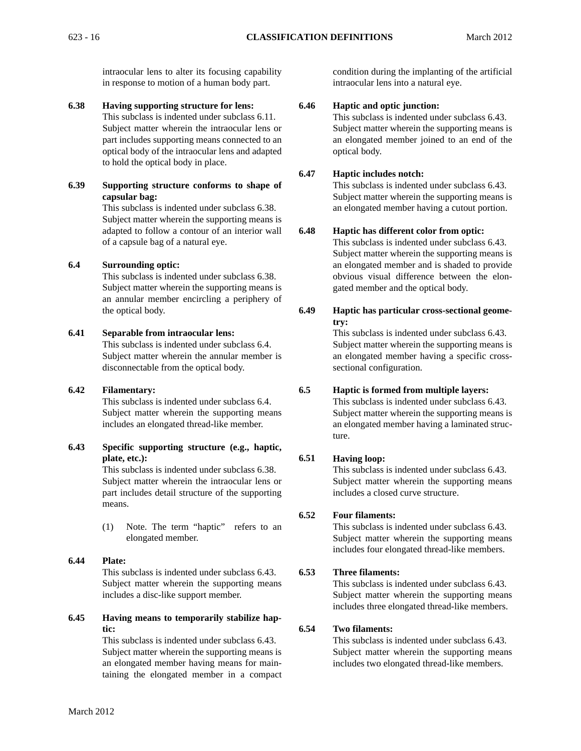intraocular lens to alter its focusing capability in response to motion of a human body part.

**6.38 Having supporting structure for lens:**  This subclass is indented under subclass 6.11. Subject matter wherein the intraocular lens or part includes supporting means connected to an optical body of the intraocular lens and adapted to hold the optical body in place.

# **6.39 Supporting structure conforms to shape of capsular bag:**

This subclass is indented under subclass 6.38. Subject matter wherein the supporting means is adapted to follow a contour of an interior wall of a capsule bag of a natural eye.

# **6.4 Surrounding optic:**

This subclass is indented under subclass 6.38. Subject matter wherein the supporting means is an annular member encircling a periphery of the optical body. **6.49** 

# **6.41 Separable from intraocular lens:**

This subclass is indented under subclass 6.4. Subject matter wherein the annular member is disconnectable from the optical body.

# **6.42 Filamentary:**

**Filamentary:** 6.5<br>This subclass is indented under subclass 6.4. Subject matter wherein the supporting means includes an elongated thread-like member.

# **6.43 Specific supporting structure (e.g., haptic, plate, etc.):**

This subclass is indented under subclass 6.38. Subject matter wherein the intraocular lens or part includes detail structure of the supporting means.

- (1) Note. The term "haptic" refers to an elongated member.
- **6.44 Plate:**  This subclass is indented under subclass 6.43. **6.53**  Subject matter wherein the supporting means includes a disc-like support member.
- **6.45 Having means to temporarily stabilize haptic: 6.54**

This subclass is indented under subclass 6.43. Subject matter wherein the supporting means is an elongated member having means for maintaining the elongated member in a compact

condition during the implanting of the artificial intraocular lens into a natural eye.

#### **6.46 Haptic and optic junction:**

This subclass is indented under subclass 6.43. Subject matter wherein the supporting means is an elongated member joined to an end of the optical body.

#### **6.47 Haptic includes notch:**

This subclass is indented under subclass 6.43. Subject matter wherein the supporting means is an elongated member having a cutout portion.

#### **6.48 Haptic has different color from optic:**

This subclass is indented under subclass 6.43. Subject matter wherein the supporting means is an elongated member and is shaded to provide obvious visual difference between the elongated member and the optical body.

# **Haptic has particular cross-sectional geometry:**

This subclass is indented under subclass 6.43. Subject matter wherein the supporting means is an elongated member having a specific crosssectional configuration.

# **Haptic is formed from multiple layers:**

This subclass is indented under subclass 6.43. Subject matter wherein the supporting means is an elongated member having a laminated structure.

#### **6.51 Having loop:**

This subclass is indented under subclass 6.43. Subject matter wherein the supporting means includes a closed curve structure.

#### **6.52 Four filaments:**

This subclass is indented under subclass 6.43. Subject matter wherein the supporting means includes four elongated thread-like members.

# **Three filaments:**

This subclass is indented under subclass 6.43. Subject matter wherein the supporting means includes three elongated thread-like members.

# **Two filaments:**

This subclass is indented under subclass 6.43. Subject matter wherein the supporting means includes two elongated thread-like members.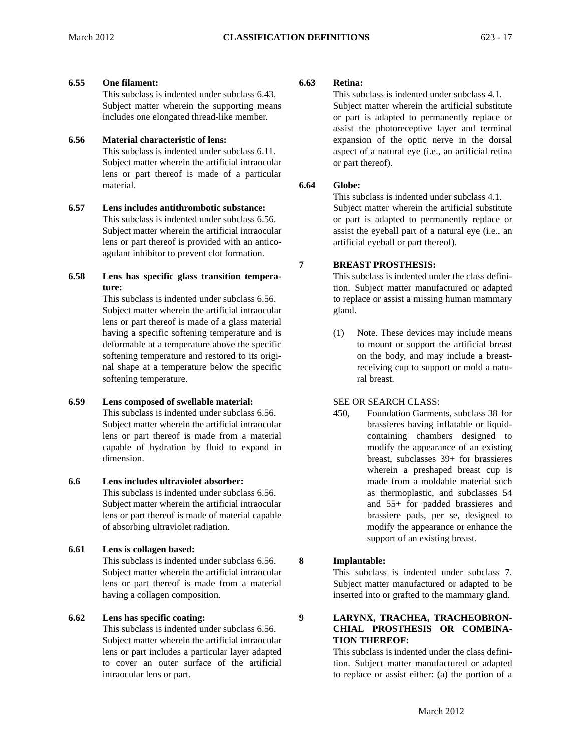## **6.55 One filament: 6.63**

This subclass is indented under subclass 6.43. Subject matter wherein the supporting means includes one elongated thread-like member.

# **6.56 Material characteristic of lens:**

This subclass is indented under subclass 6.11. Subject matter wherein the artificial intraocular lens or part thereof is made of a particular material. **6.64** 

- **6.57 Lens includes antithrombotic substance:**  This subclass is indented under subclass 6.56. Subject matter wherein the artificial intraocular lens or part thereof is provided with an anticoagulant inhibitor to prevent clot formation.
- **6.58 Lens has specific glass transition temperature:**

This subclass is indented under subclass 6.56. Subject matter wherein the artificial intraocular lens or part thereof is made of a glass material having a specific softening temperature and is deformable at a temperature above the specific softening temperature and restored to its original shape at a temperature below the specific softening temperature.

# **6.59 Lens composed of swellable material:**

 capable of hydration by fluid to expand in This subclass is indented under subclass 6.56. Subject matter wherein the artificial intraocular lens or part thereof is made from a material dimension.

# **6.6 Lens includes ultraviolet absorber:**

- This subclass is indented under subclass 6.56. Subject matter wherein the artificial intraocular lens or part thereof is made of material capable of absorbing ultraviolet radiation.
- **6.61 Lens is collagen based:**

This subclass is indented under subclass 6.56. **8**  Subject matter wherein the artificial intraocular lens or part thereof is made from a material having a collagen composition.

# **6.62 Lens has specific coating: 9**

This subclass is indented under subclass 6.56. Subject matter wherein the artificial intraocular lens or part includes a particular layer adapted to cover an outer surface of the artificial intraocular lens or part.

# **Retina:**

This subclass is indented under subclass 4.1. Subject matter wherein the artificial substitute or part is adapted to permanently replace or assist the photoreceptive layer and terminal expansion of the optic nerve in the dorsal aspect of a natural eye (i.e., an artificial retina or part thereof).

# **Globe:**

**7** 

This subclass is indented under subclass 4.1. Subject matter wherein the artificial substitute or part is adapted to permanently replace or assist the eyeball part of a natural eye (i.e., an artificial eyeball or part thereof).

# **BREAST PROSTHESIS:**

This subclass is indented under the class definition. Subject matter manufactured or adapted to replace or assist a missing human mammary gland.

(1) Note. These devices may include means to mount or support the artificial breast on the body, and may include a breastreceiving cup to support or mold a natural breast.

# SEE OR SEARCH CLASS:

450, Foundation Garments, subclass 38 for brassieres having inflatable or liquidcontaining chambers designed to modify the appearance of an existing breast, subclasses 39+ for brassieres wherein a preshaped breast cup is made from a moldable material such as thermoplastic, and subclasses 54 and 55+ for padded brassieres and brassiere pads, per se, designed to modify the appearance or enhance the support of an existing breast.

# **Implantable:**

This subclass is indented under subclass 7. Subject matter manufactured or adapted to be inserted into or grafted to the mammary gland.

# **LARYNX, TRACHEA, TRACHEOBRON-CHIAL PROSTHESIS OR COMBINA-TION THEREOF:**

This subclass is indented under the class definition. Subject matter manufactured or adapted to replace or assist either: (a) the portion of a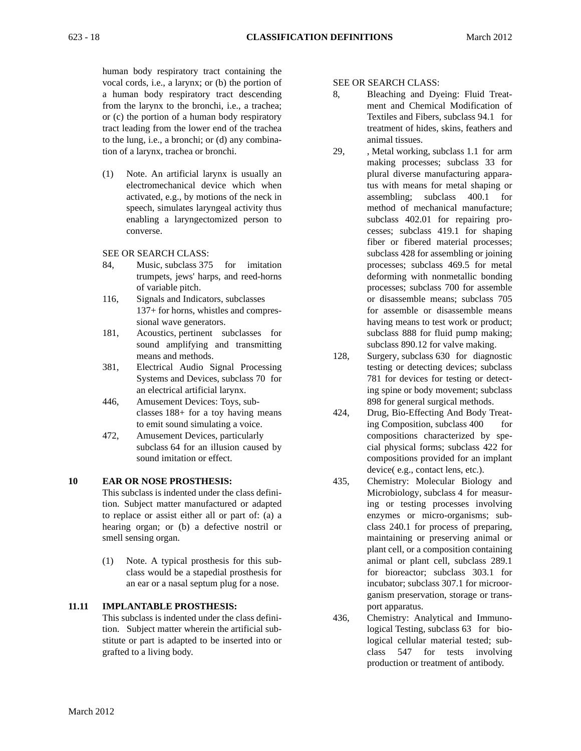human body respiratory tract containing the vocal cords, i.e., a larynx; or (b) the portion of SEE OR SEARCH CLASS: to the lung, i.e., a bronchi; or (d) any combina- animal tissues. tion of a larynx, trachea or bronchi. 29, , Metal working, subclass 1.1 for arm

(1) Note. An artificial larynx is usually an plural diverse manufacturing appara-

- 84, Music, subclass 375 for imitation processes; subclass 469.5 for metal
- 
- 181, Acoustics, pertinent subclasses for subclass 888 for fluid pump making;
- 381, Electrical Audio Signal Processing testing or detecting devices; subclass
- 446, Amusement Devices: Toys, sub- 898 for general surgical methods.
- 472, Amusement Devices, particularly compositions characterized by spe-

# **10 EAR OR NOSE PROSTHESIS:**

- This subclass is indented under the class defini-<br>Microbiology, subclass 4 for measurtion. Subject matter manufactured or adapted ing or testing processes involving to replace or assist either all or part of: (a) a enzymes or micro-organisms; subhearing organ; or (b) a defective nostril or class 240.1 for process of preparing, smell sensing organ. The maintaining or preserving animal or
- (1) Note. A typical prosthesis for this sub- animal or plant cell, subclass 289.1

# **11.11 IMPLANTABLE PROSTHESIS:**

- a human body respiratory tract descending 8, Bleaching and Dyeing: Fluid Treatfrom the larynx to the bronchi, i.e., a trachea; ment and Chemical Modification of or (c) the portion of a human body respiratory Textiles and Fibers, subclass 94.1 for tract leading from the lower end of the trachea treatment of hides, skins, feathers and
- making processes; subclass 33 for electromechanical device which when tus with means for metal shaping or activated, e.g., by motions of the neck in assembling; subclass 400.1 for speech, simulates laryngeal activity thus method of mechanical manufacture; enabling a laryngectomized person to subclass 402.01 for repairing proconverse. cesses; subclass 419.1 for shaping fiber or fibered material processes; SEE OR SEARCH CLASS: subclass 428 for assembling or joining trumpets, jews' harps, and reed-horns deforming with nonmetallic bonding of variable pitch. processes; subclass 700 for assemble 116, Signals and Indicators, subclasses or disassemble means; subclass 705 137+ for horns, whistles and compres- for assemble or disassemble means sional wave generators. having means to test work or product; sound amplifying and transmitting subclass 890.12 for valve making.
	- means and methods. 128, Surgery, subclass 630 for diagnostic Systems and Devices, subclass 70 for 781 for devices for testing or detectan electrical artificial larynx. ing spine or body movement; subclass
	- classes 188+ for a toy having means 424, Drug, Bio-Effecting And Body Treatto emit sound simulating a voice. in the state of the state of the state of the state of the state of the state of the state of the state of the state of the state of the state of the state of the state of the state of the subclass 64 for an illusion caused by cial physical forms; subclass 422 for sound imitation or effect. The compositions provided for an implant device( e.g., contact lens, etc.).
	- 435, Chemistry: Molecular Biology and plant cell, or a composition containing class would be a stapedial prosthesis for for bioreactor; subclass 303.1 for an ear or a nasal septum plug for a nose. incubator; subclass 307.1 for microorganism preservation, storage or transport apparatus.
- tion. Subject matter wherein the artificial sub- logical Testing, subclass 63 for bio-This subclass is indented under the class defini- 436, Chemistry: Analytical and Immunostitute or part is adapted to be inserted into or logical cellular material tested; subgrafted to a living body. Class 547 for tests involving production or treatment of antibody.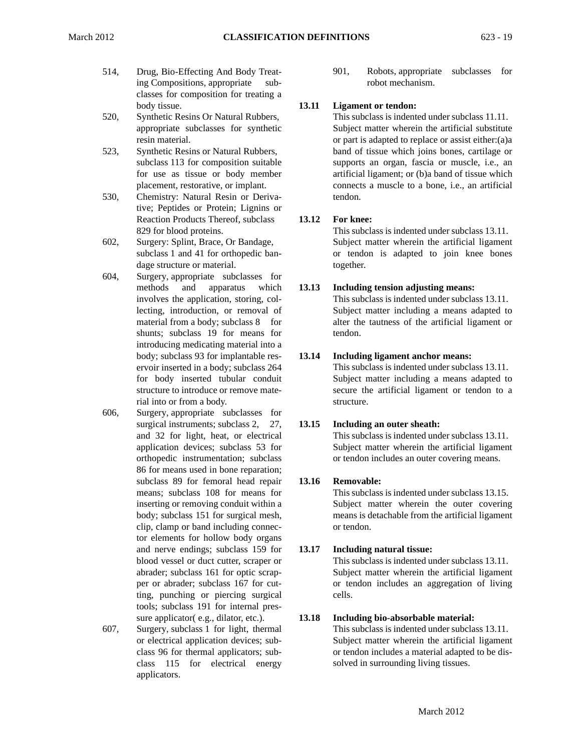- ing Compositions, appropriate sub- robot mechanism. classes for composition for treating a body tissue. **13.11 Ligament or tendon:**
- 520, Synthetic Resins Or Natural Rubbers, This subclass is indented under subclass 11.11.
- 
- 530, Chemistry: Natural Resin or Deriva- tendon. tive; Peptides or Protein; Lignins or Reaction Products Thereof, subclass **13.12 For knee:**
- dage structure or material. together.
- material from a body; subclass 8 for rial into or from a body. Structure. 604, Surgery, appropriate subclasses for shunts; subclass 19 for means for tendon. introducing medicating material into a
- 606, Surgery, appropriate subclasses for surgical instruments; subclass 2, 27, **13.15 Including an outer sheath:** 86 for means used in bone reparation; subclass 89 for femoral head repair **13.16 Removable:**  clip, clamp or band including connec- or tendon. tor elements for hollow body organs and nerve endings; subclass 159 for **13.17 Including natural tissue:**  ting, punching or piercing surgical cells. tools; subclass 191 for internal pres-
- 607, Surgery, subclass 1 for light, thermal This subclass is indented under subclass 13.11. or electrical application devices; sub- Subject matter wherein the artificial ligament class 115 for electrical energy solved in surrounding living tissues. applicators.

514, Drug, Bio-Effecting And Body Treat- 901, Robots, appropriate subclasses for

appropriate subclasses for synthetic Subject matter wherein the artificial substitute resin material.  $\qquad \qquad \text{or part is adapted to replace or assist either:} (a) a$ 523, Synthetic Resins or Natural Rubbers, band of tissue which joins bones, cartilage or subclass 113 for composition suitable supports an organ, fascia or muscle, i.e., an for use as tissue or body member artificial ligament; or (b)a band of tissue which placement, restorative, or implant. connects a muscle to a bone, i.e., an artificial

This subclass is indented under subclass 13.11. 829 for blood proteins. This subclass is indented under subclass 13.11.<br>602, Surgery: Splint, Brace, Or Bandage, Subject matter wherein the artificial ligament subclass 1 and 41 for orthopedic ban- or tendon is adapted to join knee bones

# methods and apparatus which **13.13 Including tension adjusting means:**

This subclass is indented under subclass 13.11. involves the application, storing, col- This subclass is indented under subclass 13.11. lecting, introduction, or removal of Subject matter including a means adapted to alter the tautness of the artificial ligament or

# body; subclass 93 for implantable res- **13.14 Including ligament anchor means:**

This subclass is indented under subclass 13.11. ervoir inserted in a body; subclass 264 This subclass is indented under subclass 13.11. for body inserted tubular conduit Subject matter including a means adapted to structure to introduce or remove mate- secure the artificial ligament or tendon to a

This subclass is indented under subclass 13.11. and 32 for light, heat, or electrical This subclass is indented under subclass 13.11.<br>application devices; subclass 53 for Subject matter wherein the artificial ligament orthopedic instrumentation; subclass or tendon includes an outer covering means.

means; subclass 108 for means for This subclass is indented under subclass 13.15. inserting or removing conduit within a Subject matter wherein the outer covering body; subclass 151 for surgical mesh, means is detachable from the artificial ligament

This subclass is indented under subclass 13.11. blood vessel or duct cutter, scraper or This subclass is indented under subclass 13.11.<br>abrader; subclass 161 for optic scrap-<br>Subject matter wherein the artificial ligament per or abrader; subclass 167 for cut- or tendon includes an aggregation of living

# sure applicator( e.g., dilator, etc.). **13.18 Including bio-absorbable material:**

This subclass is indented under subclass 13.11. class 96 for thermal applicators; sub- or tendon includes a material adapted to be dis-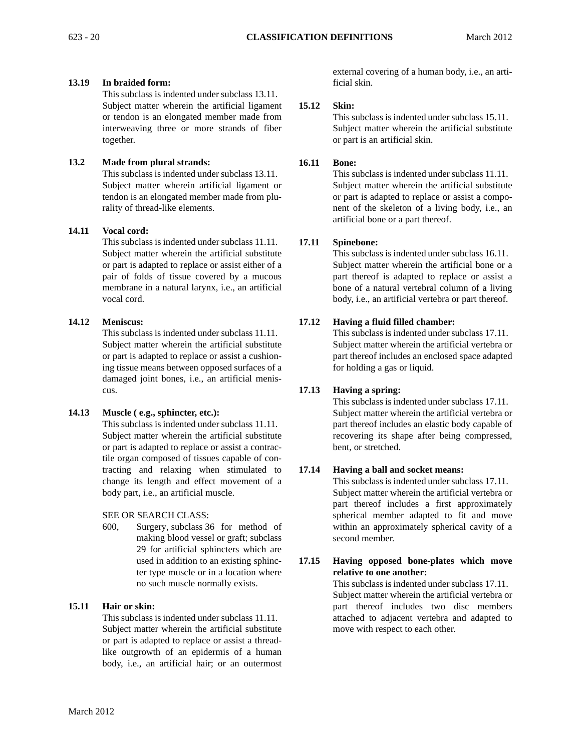# **13.19 In braided form:**

This subclass is indented under subclass 13.11. Subject matter wherein the artificial ligament or tendon is an elongated member made from interweaving three or more strands of fiber together.

# **13.2 Made from plural strands:**

This subclass is indented under subclass 13.11. Subject matter wherein artificial ligament or tendon is an elongated member made from plurality of thread-like elements.

# **14.11 Vocal cord:**

This subclass is indented under subclass 11.11. Subject matter wherein the artificial substitute or part is adapted to replace or assist either of a pair of folds of tissue covered by a mucous membrane in a natural larynx, i.e., an artificial vocal cord.

# **14.12 Meniscus:**

This subclass is indented under subclass 11.11. Subject matter wherein the artificial substitute or part is adapted to replace or assist a cushioning tissue means between opposed surfaces of a damaged joint bones, i.e., an artificial meniscus.

# **14.13 Muscle ( e.g., sphincter, etc.):**

This subclass is indented under subclass 11.11. Subject matter wherein the artificial substitute or part is adapted to replace or assist a contractile organ composed of tissues capable of contracting and relaxing when stimulated to change its length and effect movement of a body part, i.e., an artificial muscle.

# SEE OR SEARCH CLASS:

600, Surgery, subclass 36 for method of making blood vessel or graft; subclass 29 for artificial sphincters which are used in addition to an existing sphincter type muscle or in a location where no such muscle normally exists.

# **15.11 Hair or skin:**

This subclass is indented under subclass 11.11. Subject matter wherein the artificial substitute or part is adapted to replace or assist a threadlike outgrowth of an epidermis of a human body, i.e., an artificial hair; or an outermost

external covering of a human body, i.e., an artificial skin.

# **15.12 Skin:**

This subclass is indented under subclass 15.11. Subject matter wherein the artificial substitute or part is an artificial skin.

# **16.11 Bone:**

This subclass is indented under subclass 11.11. Subject matter wherein the artificial substitute or part is adapted to replace or assist a component of the skeleton of a living body, i.e., an artificial bone or a part thereof.

# **17.11 Spinebone:**

This subclass is indented under subclass 16.11. Subject matter wherein the artificial bone or a part thereof is adapted to replace or assist a bone of a natural vertebral column of a living body, i.e., an artificial vertebra or part thereof.

# **17.12 Having a fluid filled chamber:**

This subclass is indented under subclass 17.11. Subject matter wherein the artificial vertebra or part thereof includes an enclosed space adapted for holding a gas or liquid.

# **17.13 Having a spring:**

This subclass is indented under subclass 17.11. Subject matter wherein the artificial vertebra or part thereof includes an elastic body capable of recovering its shape after being compressed, bent, or stretched.

# **17.14 Having a ball and socket means:**

This subclass is indented under subclass 17.11. Subject matter wherein the artificial vertebra or part thereof includes a first approximately spherical member adapted to fit and move within an approximately spherical cavity of a second member.

# **17.15 Having opposed bone-plates which move relative to one another:**

This subclass is indented under subclass 17.11. Subject matter wherein the artificial vertebra or part thereof includes two disc members attached to adjacent vertebra and adapted to move with respect to each other.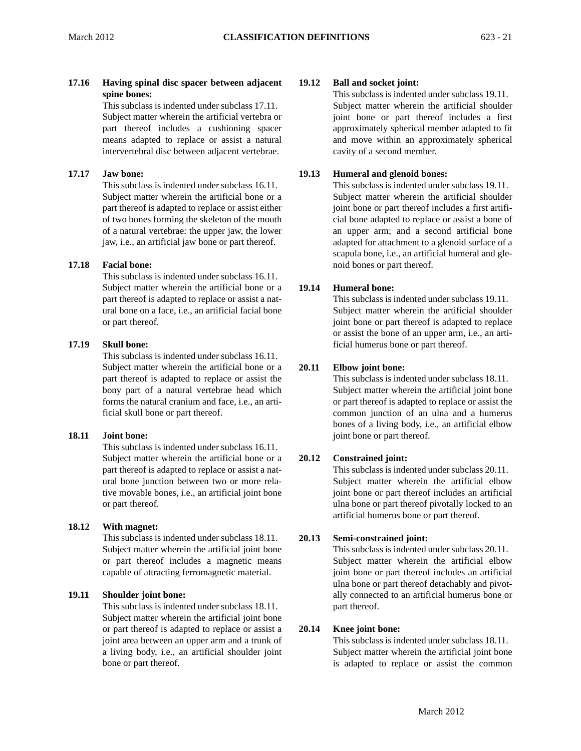# **17.16 Having spinal disc spacer between adjacent spine bones:**

This subclass is indented under subclass 17.11. Subject matter wherein the artificial vertebra or part thereof includes a cushioning spacer means adapted to replace or assist a natural intervertebral disc between adjacent vertebrae.

# **17.17 Jaw bone:**

This subclass is indented under subclass 16.11. Subject matter wherein the artificial bone or a part thereof is adapted to replace or assist either of two bones forming the skeleton of the mouth of a natural vertebrae: the upper jaw, the lower jaw, i.e., an artificial jaw bone or part thereof.

# **17.18 Facial bone:**

This subclass is indented under subclass 16.11. Subject matter wherein the artificial bone or a part thereof is adapted to replace or assist a natural bone on a face, i.e., an artificial facial bone or part thereof.

# **17.19 Skull bone:**

This subclass is indented under subclass 16.11. Subject matter wherein the artificial bone or a part thereof is adapted to replace or assist the bony part of a natural vertebrae head which forms the natural cranium and face, i.e., an artificial skull bone or part thereof.

# **18.11 Joint bone:**

This subclass is indented under subclass 16.11. Subject matter wherein the artificial bone or a part thereof is adapted to replace or assist a natural bone junction between two or more relative movable bones, i.e., an artificial joint bone or part thereof.

# **18.12 With magnet:**

This subclass is indented under subclass 18.11. Subject matter wherein the artificial joint bone or part thereof includes a magnetic means capable of attracting ferromagnetic material.

# **19.11 Shoulder joint bone:**

This subclass is indented under subclass 18.11. Subject matter wherein the artificial joint bone or part thereof is adapted to replace or assist a joint area between an upper arm and a trunk of a living body, i.e., an artificial shoulder joint bone or part thereof.

# **19.12 Ball and socket joint:**

This subclass is indented under subclass 19.11. Subject matter wherein the artificial shoulder joint bone or part thereof includes a first approximately spherical member adapted to fit and move within an approximately spherical cavity of a second member.

# **19.13 Humeral and glenoid bones:**

This subclass is indented under subclass 19.11. Subject matter wherein the artificial shoulder joint bone or part thereof includes a first artificial bone adapted to replace or assist a bone of an upper arm; and a second artificial bone adapted for attachment to a glenoid surface of a scapula bone, i.e., an artificial humeral and glenoid bones or part thereof.

# **19.14 Humeral bone:**

This subclass is indented under subclass 19.11. Subject matter wherein the artificial shoulder joint bone or part thereof is adapted to replace or assist the bone of an upper arm, i.e., an artificial humerus bone or part thereof.

# **20.11 Elbow joint bone:**

This subclass is indented under subclass 18.11. common junction of an ulna and a humerus Subject matter wherein the artificial joint bone or part thereof is adapted to replace or assist the bones of a living body, i.e., an artificial elbow joint bone or part thereof.

# **20.12 Constrained joint:**

 This subclass is indented under subclass 20.11. Subject matter wherein the artificial elbow artificial humerus bone or part thereof. joint bone or part thereof includes an artificial ulna bone or part thereof pivotally locked to an

# **20.13 Semi-constrained joint:**

This subclass is indented under subclass 20.11. Subject matter wherein the artificial elbow joint bone or part thereof includes an artificial ulna bone or part thereof detachably and pivotally connected to an artificial humerus bone or part thereof.

# **20.14 Knee joint bone:**

This subclass is indented under subclass 18.11. Subject matter wherein the artificial joint bone is adapted to replace or assist the common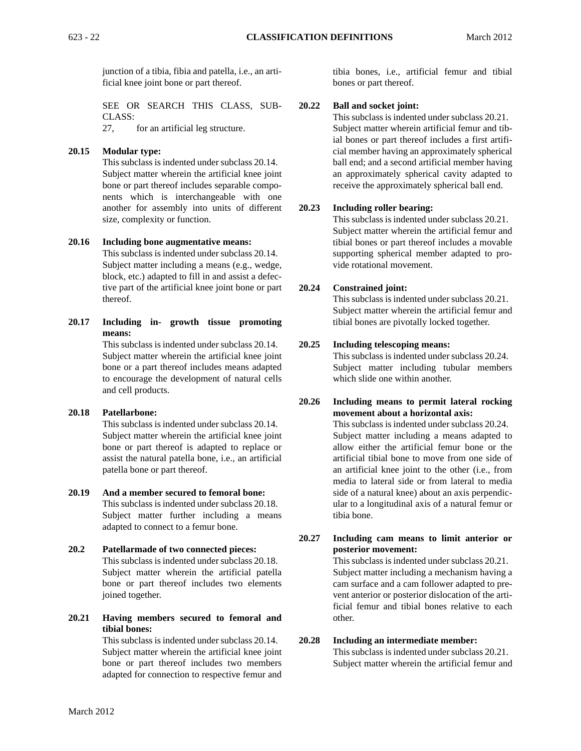junction of a tibia, fibia and patella, i.e., an artificial knee joint bone or part thereof.

SEE OR SEARCH THIS CLASS, SUB-CLASS:

27, for an artificial leg structure.

# **20.15 Modular type:**

 nents which is interchangeable with one This subclass is indented under subclass 20.14. Subject matter wherein the artificial knee joint bone or part thereof includes separable compoanother for assembly into units of different size, complexity or function.

## **20.16 Including bone augmentative means:**

This subclass is indented under subclass 20.14. Subject matter including a means (e.g., wedge, block, etc.) adapted to fill in and assist a defective part of the artificial knee joint bone or part thereof.

**20.17 Including in- growth tissue promoting means:** 

This subclass is indented under subclass 20.14. Subject matter wherein the artificial knee joint bone or a part thereof includes means adapted to encourage the development of natural cells and cell products.

# **20.18 Patellarbone:**

This subclass is indented under subclass 20.14. Subject matter wherein the artificial knee joint bone or part thereof is adapted to replace or assist the natural patella bone, i.e., an artificial patella bone or part thereof.

# **20.19 And a member secured to femoral bone:**  This subclass is indented under subclass 20.18. Subject matter further including a means adapted to connect to a femur bone.

# **20.2 Patellarmade of two connected pieces:**  This subclass is indented under subclass 20.18. Subject matter wherein the artificial patella bone or part thereof includes two elements joined together.

**20.21 Having members secured to femoral and tibial bones:** 

This subclass is indented under subclass 20.14. Subject matter wherein the artificial knee joint bone or part thereof includes two members adapted for connection to respective femur and

tibia bones, i.e., artificial femur and tibial bones or part thereof.

## **20.22 Ball and socket joint:**

This subclass is indented under subclass 20.21. Subject matter wherein artificial femur and tibial bones or part thereof includes a first artificial member having an approximately spherical ball end; and a second artificial member having an approximately spherical cavity adapted to receive the approximately spherical ball end.

## **20.23 Including roller bearing:**

This subclass is indented under subclass 20.21. Subject matter wherein the artificial femur and tibial bones or part thereof includes a movable supporting spherical member adapted to provide rotational movement.

## **20.24 Constrained joint:**

This subclass is indented under subclass 20.21. Subject matter wherein the artificial femur and tibial bones are pivotally locked together.

## **20.25 Including telescoping means:**

This subclass is indented under subclass 20.24. Subject matter including tubular members which slide one within another.

# **20.26 Including means to permit lateral rocking movement about a horizontal axis:**

This subclass is indented under subclass 20.24. Subject matter including a means adapted to allow either the artificial femur bone or the artificial tibial bone to move from one side of an artificial knee joint to the other (i.e., from media to lateral side or from lateral to media side of a natural knee) about an axis perpendicular to a longitudinal axis of a natural femur or tibia bone.

# **20.27 Including cam means to limit anterior or posterior movement:**

This subclass is indented under subclass 20.21. Subject matter including a mechanism having a cam surface and a cam follower adapted to prevent anterior or posterior dislocation of the artificial femur and tibial bones relative to each other.

# **20.28 Including an intermediate member:**

This subclass is indented under subclass 20.21. Subject matter wherein the artificial femur and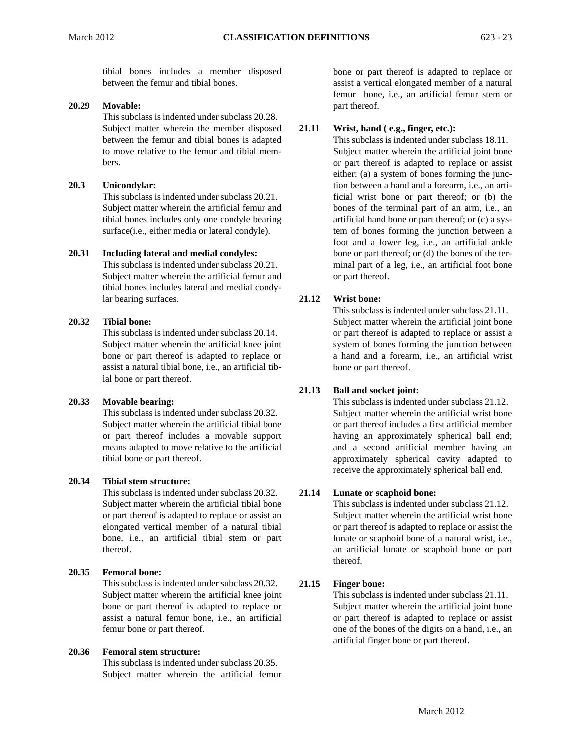tibial bones includes a member disposed between the femur and tibial bones.

# **20.29 Movable:**

This subclass is indented under subclass 20.28. Subject matter wherein the member disposed between the femur and tibial bones is adapted to move relative to the femur and tibial members.

## **20.3 Unicondylar:**

This subclass is indented under subclass 20.21. Subject matter wherein the artificial femur and tibial bones includes only one condyle bearing surface(i.e., either media or lateral condyle).

## **20.31 Including lateral and medial condyles:**

This subclass is indented under subclass 20.21. Subject matter wherein the artificial femur and tibial bones includes lateral and medial condylar bearing surfaces.

# **20.32 Tibial bone:**

This subclass is indented under subclass 20.14. Subject matter wherein the artificial knee joint bone or part thereof is adapted to replace or assist a natural tibial bone, i.e., an artificial tibial bone or part thereof.

# **20.33 Movable bearing:**

This subclass is indented under subclass 20.32. Subject matter wherein the artificial tibial bone or part thereof includes a movable support means adapted to move relative to the artificial tibial bone or part thereof.

# **20.34 Tibial stem structure:**

This subclass is indented under subclass 20.32. Subject matter wherein the artificial tibial bone or part thereof is adapted to replace or assist an elongated vertical member of a natural tibial bone, i.e., an artificial tibial stem or part thereof.

# **20.35 Femoral bone:**

This subclass is indented under subclass 20.32. Subject matter wherein the artificial knee joint bone or part thereof is adapted to replace or assist a natural femur bone, i.e., an artificial femur bone or part thereof.

## **20.36 Femoral stem structure:**

This subclass is indented under subclass 20.35. Subject matter wherein the artificial femur bone or part thereof is adapted to replace or assist a vertical elongated member of a natural femur bone, i.e., an artificial femur stem or part thereof.

## **21.11 Wrist, hand ( e.g., finger, etc.):**

This subclass is indented under subclass 18.11. Subject matter wherein the artificial joint bone or part thereof is adapted to replace or assist either: (a) a system of bones forming the junction between a hand and a forearm, i.e., an artificial wrist bone or part thereof; or (b) the bones of the terminal part of an arm, i.e., an artificial hand bone or part thereof; or (c) a system of bones forming the junction between a foot and a lower leg, i.e., an artificial ankle bone or part thereof; or (d) the bones of the terminal part of a leg, i.e., an artificial foot bone or part thereof.

## **21.12 Wrist bone:**

This subclass is indented under subclass 21.11. Subject matter wherein the artificial joint bone or part thereof is adapted to replace or assist a system of bones forming the junction between a hand and a forearm, i.e., an artificial wrist bone or part thereof.

# **21.13 Ball and socket joint:**

This subclass is indented under subclass 21.12. Subject matter wherein the artificial wrist bone or part thereof includes a first artificial member having an approximately spherical ball end; and a second artificial member having an approximately spherical cavity adapted to receive the approximately spherical ball end.

# **21.14 Lunate or scaphoid bone:**

This subclass is indented under subclass 21.12. Subject matter wherein the artificial wrist bone or part thereof is adapted to replace or assist the lunate or scaphoid bone of a natural wrist, i.e., an artificial lunate or scaphoid bone or part thereof.

# **21.15 Finger bone:**

This subclass is indented under subclass 21.11. Subject matter wherein the artificial joint bone or part thereof is adapted to replace or assist one of the bones of the digits on a hand, i.e., an artificial finger bone or part thereof.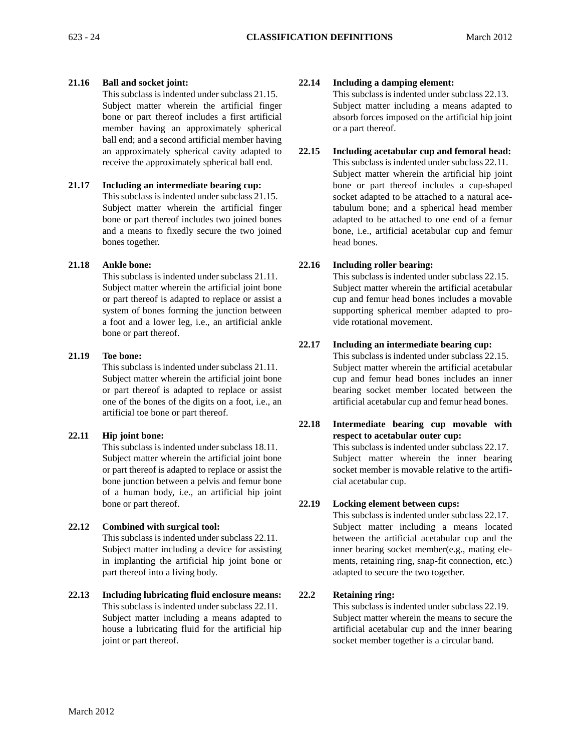# **21.16 Ball and socket joint:**

This subclass is indented under subclass 21.15. Subject matter wherein the artificial finger bone or part thereof includes a first artificial member having an approximately spherical ball end; and a second artificial member having an approximately spherical cavity adapted to receive the approximately spherical ball end.

# **21.17 Including an intermediate bearing cup:**

This subclass is indented under subclass 21.15. Subject matter wherein the artificial finger bone or part thereof includes two joined bones and a means to fixedly secure the two joined bones together.

# **21.18 Ankle bone:**

This subclass is indented under subclass 21.11. Subject matter wherein the artificial joint bone or part thereof is adapted to replace or assist a system of bones forming the junction between a foot and a lower leg, i.e., an artificial ankle bone or part thereof.

## **21.19 Toe bone:**

This subclass is indented under subclass 21.11. Subject matter wherein the artificial joint bone or part thereof is adapted to replace or assist one of the bones of the digits on a foot, i.e., an artificial toe bone or part thereof.

# **22.11 Hip joint bone:**

This subclass is indented under subclass 18.11. Subject matter wherein the artificial joint bone or part thereof is adapted to replace or assist the bone junction between a pelvis and femur bone of a human body, i.e., an artificial hip joint bone or part thereof.

# **22.12 Combined with surgical tool:**

This subclass is indented under subclass 22.11. Subject matter including a device for assisting in implanting the artificial hip joint bone or part thereof into a living body.

**22.13 Including lubricating fluid enclosure means:**  This subclass is indented under subclass 22.11. Subject matter including a means adapted to house a lubricating fluid for the artificial hip joint or part thereof.

## **22.14 Including a damping element:**

This subclass is indented under subclass 22.13. Subject matter including a means adapted to absorb forces imposed on the artificial hip joint or a part thereof.

# **22.15 Including acetabular cup and femoral head:**

This subclass is indented under subclass 22.11. Subject matter wherein the artificial hip joint bone or part thereof includes a cup-shaped socket adapted to be attached to a natural acetabulum bone; and a spherical head member adapted to be attached to one end of a femur bone, i.e., artificial acetabular cup and femur head bones.

## **22.16 Including roller bearing:**

This subclass is indented under subclass 22.15. Subject matter wherein the artificial acetabular cup and femur head bones includes a movable supporting spherical member adapted to provide rotational movement.

## **22.17 Including an intermediate bearing cup:**

This subclass is indented under subclass 22.15. Subject matter wherein the artificial acetabular cup and femur head bones includes an inner bearing socket member located between the artificial acetabular cup and femur head bones.

# **22.18 Intermediate bearing cup movable with respect to acetabular outer cup:**  This subclass is indented under subclass 22.17. Subject matter wherein the inner bearing socket member is movable relative to the artificial acetabular cup.

# **22.19 Locking element between cups:**

This subclass is indented under subclass 22.17. Subject matter including a means located between the artificial acetabular cup and the inner bearing socket member(e.g., mating elements, retaining ring, snap-fit connection, etc.) adapted to secure the two together.

# **22.2 Retaining ring:**

This subclass is indented under subclass 22.19. Subject matter wherein the means to secure the artificial acetabular cup and the inner bearing socket member together is a circular band.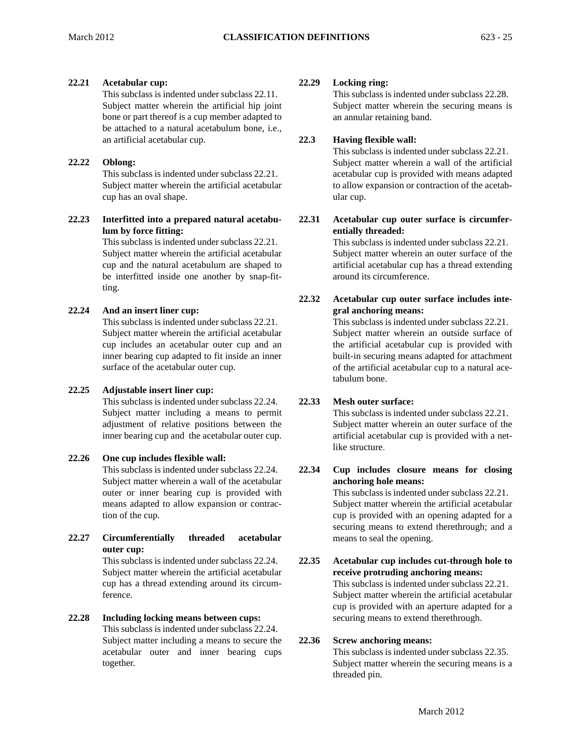# **22.21 Acetabular cup:**

This subclass is indented under subclass 22.11. Subject matter wherein the artificial hip joint bone or part thereof is a cup member adapted to be attached to a natural acetabulum bone, i.e., an artificial acetabular cup.

# **22.22 Oblong:**

This subclass is indented under subclass 22.21. Subject matter wherein the artificial acetabular cup has an oval shape.

**22.23 Interfitted into a prepared natural acetabulum by force fitting:** 

> This subclass is indented under subclass 22.21. Subject matter wherein the artificial acetabular cup and the natural acetabulum are shaped to be interfitted inside one another by snap-fitting.

# **22.24 And an insert liner cup:**

This subclass is indented under subclass 22.21. Subject matter wherein the artificial acetabular cup includes an acetabular outer cup and an inner bearing cup adapted to fit inside an inner surface of the acetabular outer cup.

# **22.25 Adjustable insert liner cup:**

This subclass is indented under subclass 22.24. Subject matter including a means to permit adjustment of relative positions between the inner bearing cup and the acetabular outer cup.

# **22.26 One cup includes flexible wall:**

This subclass is indented under subclass 22.24. Subject matter wherein a wall of the acetabular outer or inner bearing cup is provided with means adapted to allow expansion or contraction of the cup.

**22.27 Circumferentially threaded acetabular outer cup:** 

This subclass is indented under subclass 22.24. Subject matter wherein the artificial acetabular cup has a thread extending around its circumference.

# **22.28 Including locking means between cups:**

This subclass is indented under subclass 22.24. Subject matter including a means to secure the acetabular outer and inner bearing cups together.

# **22.29 Locking ring:**

This subclass is indented under subclass 22.28. Subject matter wherein the securing means is an annular retaining band.

# **22.3 Having flexible wall:**

This subclass is indented under subclass 22.21. Subject matter wherein a wall of the artificial acetabular cup is provided with means adapted to allow expansion or contraction of the acetabular cup.

**22.31 Acetabular cup outer surface is circumferentially threaded:** 

> This subclass is indented under subclass 22.21. Subject matter wherein an outer surface of the artificial acetabular cup has a thread extending around its circumference.

# **22.32 Acetabular cup outer surface includes integral anchoring means:**

This subclass is indented under subclass 22.21. Subject matter wherein an outside surface of the artificial acetabular cup is provided with built-in securing means adapted for attachment of the artificial acetabular cup to a natural acetabulum bone.

# **22.33 Mesh outer surface:**

This subclass is indented under subclass 22.21. Subject matter wherein an outer surface of the artificial acetabular cup is provided with a netlike structure.

# **22.34 Cup includes closure means for closing anchoring hole means:**

This subclass is indented under subclass 22.21. Subject matter wherein the artificial acetabular cup is provided with an opening adapted for a securing means to extend therethrough; and a means to seal the opening.

# **22.35 Acetabular cup includes cut-through hole to receive protruding anchoring means:**  This subclass is indented under subclass 22.21. Subject matter wherein the artificial acetabular cup is provided with an aperture adapted for a securing means to extend therethrough.

# **22.36 Screw anchoring means:**

This subclass is indented under subclass 22.35. Subject matter wherein the securing means is a threaded pin.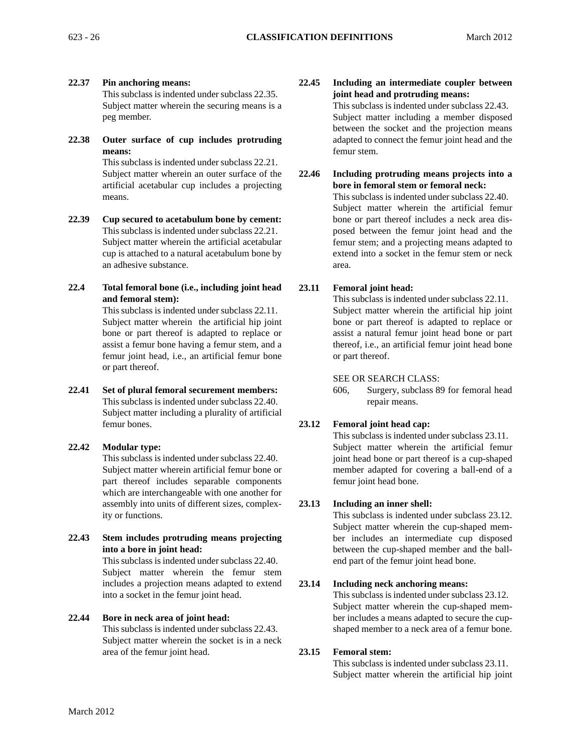**22.37 Pin anchoring means:** 

This subclass is indented under subclass 22.35. Subject matter wherein the securing means is a peg member.

**22.38 Outer surface of cup includes protruding means:** 

This subclass is indented under subclass 22.21. Subject matter wherein an outer surface of the artificial acetabular cup includes a projecting means.

- **22.39 Cup secured to acetabulum bone by cement:**  This subclass is indented under subclass 22.21. Subject matter wherein the artificial acetabular cup is attached to a natural acetabulum bone by an adhesive substance.
- **22.4 Total femoral bone (i.e., including joint head and femoral stem):**

 or part thereof. This subclass is indented under subclass 22.11. Subject matter wherein the artificial hip joint bone or part thereof is adapted to replace or assist a femur bone having a femur stem, and a femur joint head, i.e., an artificial femur bone

**22.41 Set of plural femoral securement members:**  This subclass is indented under subclass 22.40. Subject matter including a plurality of artificial femur bones.

# **22.42 Modular type:**

This subclass is indented under subclass 22.40. Subject matter wherein artificial femur bone or part thereof includes separable components which are interchangeable with one another for assembly into units of different sizes, complexity or functions.

**22.43 Stem includes protruding means projecting into a bore in joint head:** 

> This subclass is indented under subclass 22.40. Subject matter wherein the femur stem includes a projection means adapted to extend into a socket in the femur joint head.

# **22.44 Bore in neck area of joint head:**

This subclass is indented under subclass 22.43. Subject matter wherein the socket is in a neck area of the femur joint head.

# **22.45 Including an intermediate coupler between joint head and protruding means:**

This subclass is indented under subclass 22.43. Subject matter including a member disposed between the socket and the projection means adapted to connect the femur joint head and the femur stem.

**22.46 Including protruding means projects into a bore in femoral stem or femoral neck:**  This subclass is indented under subclass 22.40. Subject matter wherein the artificial femur bone or part thereof includes a neck area disposed between the femur joint head and the femur stem; and a projecting means adapted to extend into a socket in the femur stem or neck area.

# **23.11 Femoral joint head:**

 This subclass is indented under subclass 22.11. Subject matter wherein the artificial hip joint bone or part thereof is adapted to replace or assist a natural femur joint head bone or part thereof, i.e., an artificial femur joint head bone or part thereof.

# SEE OR SEARCH CLASS:

606, Surgery, subclass 89 for femoral head repair means.

# **23.12 Femoral joint head cap:**

This subclass is indented under subclass 23.11. Subject matter wherein the artificial femur joint head bone or part thereof is a cup-shaped member adapted for covering a ball-end of a femur joint head bone.

# **23.13 Including an inner shell:**

This subclass is indented under subclass 23.12. Subject matter wherein the cup-shaped member includes an intermediate cup disposed between the cup-shaped member and the ballend part of the femur joint head bone.

# **23.14 Including neck anchoring means:**

This subclass is indented under subclass 23.12. Subject matter wherein the cup-shaped member includes a means adapted to secure the cupshaped member to a neck area of a femur bone.

# **23.15 Femoral stem:**

This subclass is indented under subclass 23.11. Subject matter wherein the artificial hip joint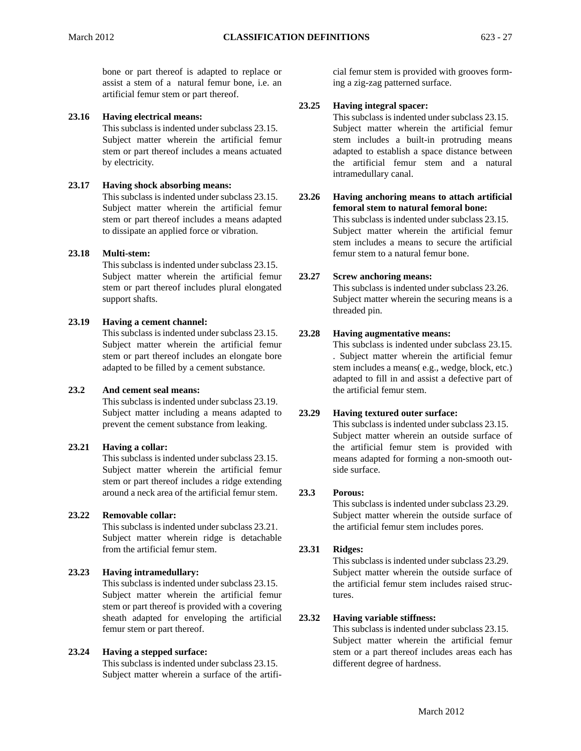bone or part thereof is adapted to replace or assist a stem of a natural femur bone, i.e. an artificial femur stem or part thereof.

## **23.16 Having electrical means:**

This subclass is indented under subclass 23.15. Subject matter wherein the artificial femur stem or part thereof includes a means actuated by electricity.

## **23.17 Having shock absorbing means:**

This subclass is indented under subclass 23.15. Subject matter wherein the artificial femur stem or part thereof includes a means adapted to dissipate an applied force or vibration.

## **23.18 Multi-stem:**

This subclass is indented under subclass 23.15. Subject matter wherein the artificial femur stem or part thereof includes plural elongated support shafts.

## **23.19 Having a cement channel:**

This subclass is indented under subclass 23.15. Subject matter wherein the artificial femur stem or part thereof includes an elongate bore adapted to be filled by a cement substance.

## **23.2 And cement seal means:**

This subclass is indented under subclass 23.19. Subject matter including a means adapted to prevent the cement substance from leaking.

# **23.21 Having a collar:**

This subclass is indented under subclass 23.15. Subject matter wherein the artificial femur stem or part thereof includes a ridge extending around a neck area of the artificial femur stem.

# **23.22 Removable collar:**

This subclass is indented under subclass 23.21. Subject matter wherein ridge is detachable from the artificial femur stem.

# **23.23 Having intramedullary:**

This subclass is indented under subclass 23.15. Subject matter wherein the artificial femur stem or part thereof is provided with a covering sheath adapted for enveloping the artificial femur stem or part thereof.

# **23.24 Having a stepped surface:**

This subclass is indented under subclass 23.15. Subject matter wherein a surface of the artificial femur stem is provided with grooves forming a zig-zag patterned surface.

## **23.25 Having integral spacer:**

This subclass is indented under subclass 23.15. Subject matter wherein the artificial femur stem includes a built-in protruding means adapted to establish a space distance between the artificial femur stem and a natural intramedullary canal.

# **23.26 Having anchoring means to attach artificial femoral stem to natural femoral bone:**

This subclass is indented under subclass 23.15. Subject matter wherein the artificial femur stem includes a means to secure the artificial femur stem to a natural femur bone.

# **23.27 Screw anchoring means:**

This subclass is indented under subclass 23.26. Subject matter wherein the securing means is a threaded pin.

## **23.28 Having augmentative means:**

This subclass is indented under subclass 23.15. . Subject matter wherein the artificial femur stem includes a means( e.g., wedge, block, etc.) adapted to fill in and assist a defective part of the artificial femur stem.

#### **23.29 Having textured outer surface:**

This subclass is indented under subclass 23.15. Subject matter wherein an outside surface of the artificial femur stem is provided with means adapted for forming a non-smooth outside surface.

#### **23.3 Porous:**

This subclass is indented under subclass 23.29. Subject matter wherein the outside surface of the artificial femur stem includes pores.

## **23.31 Ridges:**

This subclass is indented under subclass 23.29. Subject matter wherein the outside surface of the artificial femur stem includes raised structures.

## **23.32 Having variable stiffness:**

This subclass is indented under subclass 23.15. Subject matter wherein the artificial femur stem or a part thereof includes areas each has different degree of hardness.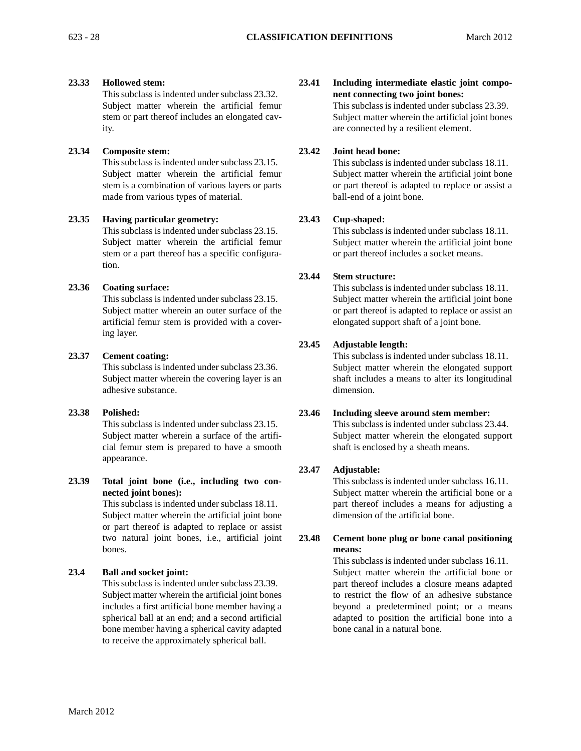# **23.33 Hollowed stem:**

This subclass is indented under subclass 23.32. Subject matter wherein the artificial femur stem or part thereof includes an elongated cavity.

# **23.34 Composite stem:**

This subclass is indented under subclass 23.15. Subject matter wherein the artificial femur stem is a combination of various layers or parts made from various types of material.

# **23.35 Having particular geometry:**

This subclass is indented under subclass 23.15. Subject matter wherein the artificial femur stem or a part thereof has a specific configuration.

# **23.36 Coating surface:**

This subclass is indented under subclass 23.15. Subject matter wherein an outer surface of the artificial femur stem is provided with a covering layer.

# **23.37 Cement coating:**

This subclass is indented under subclass 23.36. Subject matter wherein the covering layer is an adhesive substance.

# **23.38 Polished:**

This subclass is indented under subclass 23.15. Subject matter wherein a surface of the artificial femur stem is prepared to have a smooth appearance.

**23.39 Total joint bone (i.e., including two connected joint bones):** 

> This subclass is indented under subclass 18.11. Subject matter wherein the artificial joint bone or part thereof is adapted to replace or assist two natural joint bones, i.e., artificial joint bones.

# **23.4 Ball and socket joint:**

This subclass is indented under subclass 23.39. Subject matter wherein the artificial joint bones includes a first artificial bone member having a spherical ball at an end; and a second artificial bone member having a spherical cavity adapted to receive the approximately spherical ball.

# **23.41 Including intermediate elastic joint component connecting two joint bones:**

This subclass is indented under subclass 23.39. Subject matter wherein the artificial joint bones are connected by a resilient element.

# **23.42 Joint head bone:**

This subclass is indented under subclass 18.11. Subject matter wherein the artificial joint bone or part thereof is adapted to replace or assist a ball-end of a joint bone.

# **23.43 Cup-shaped:**

This subclass is indented under subclass 18.11. Subject matter wherein the artificial joint bone or part thereof includes a socket means.

# **23.44 Stem structure:**

This subclass is indented under subclass 18.11. Subject matter wherein the artificial joint bone or part thereof is adapted to replace or assist an elongated support shaft of a joint bone.

# **23.45 Adjustable length:**

This subclass is indented under subclass 18.11. Subject matter wherein the elongated support shaft includes a means to alter its longitudinal dimension.

# **23.46 Including sleeve around stem member:**

This subclass is indented under subclass 23.44. Subject matter wherein the elongated support shaft is enclosed by a sheath means.

# **23.47 Adjustable:**

This subclass is indented under subclass 16.11. Subject matter wherein the artificial bone or a part thereof includes a means for adjusting a dimension of the artificial bone.

# **23.48 Cement bone plug or bone canal positioning means:**

This subclass is indented under subclass 16.11. Subject matter wherein the artificial bone or part thereof includes a closure means adapted to restrict the flow of an adhesive substance beyond a predetermined point; or a means adapted to position the artificial bone into a bone canal in a natural bone.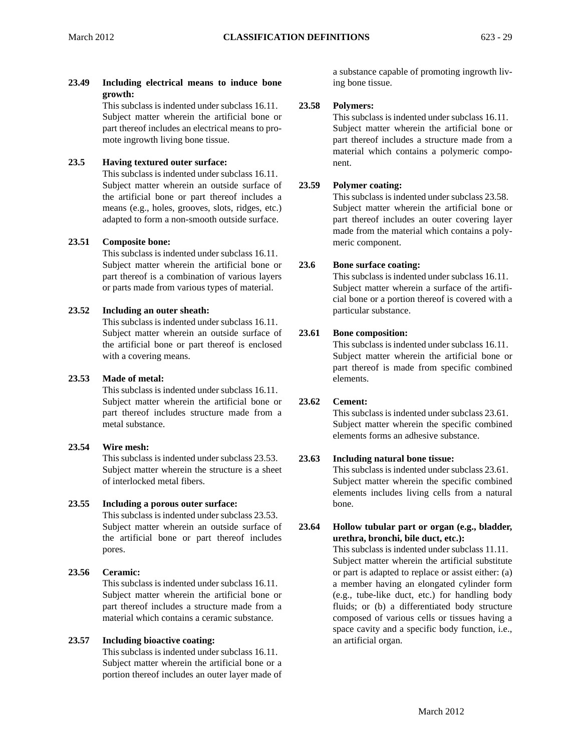**23.49 Including electrical means to induce bone growth:** 

This subclass is indented under subclass 16.11. Subject matter wherein the artificial bone or part thereof includes an electrical means to promote ingrowth living bone tissue.

# **23.5 Having textured outer surface:**

This subclass is indented under subclass 16.11. Subject matter wherein an outside surface of the artificial bone or part thereof includes a means (e.g., holes, grooves, slots, ridges, etc.) adapted to form a non-smooth outside surface.

# **23.51 Composite bone:**

This subclass is indented under subclass 16.11. Subject matter wherein the artificial bone or part thereof is a combination of various layers or parts made from various types of material.

# **23.52 Including an outer sheath:**

This subclass is indented under subclass 16.11. Subject matter wherein an outside surface of the artificial bone or part thereof is enclosed with a covering means.

# **23.53 Made of metal:**

This subclass is indented under subclass 16.11. Subject matter wherein the artificial bone or part thereof includes structure made from a metal substance.

# **23.54 Wire mesh:**

This subclass is indented under subclass 23.53. Subject matter wherein the structure is a sheet of interlocked metal fibers.

# **23.55 Including a porous outer surface:**

This subclass is indented under subclass 23.53. Subject matter wherein an outside surface of the artificial bone or part thereof includes pores.

# **23.56 Ceramic:**

This subclass is indented under subclass 16.11. Subject matter wherein the artificial bone or part thereof includes a structure made from a material which contains a ceramic substance.

# **23.57 Including bioactive coating:**

This subclass is indented under subclass 16.11. Subject matter wherein the artificial bone or a portion thereof includes an outer layer made of a substance capable of promoting ingrowth living bone tissue.

# **23.58 Polymers:**

This subclass is indented under subclass 16.11. Subject matter wherein the artificial bone or part thereof includes a structure made from a material which contains a polymeric component.

# **23.59 Polymer coating:**

This subclass is indented under subclass 23.58. Subject matter wherein the artificial bone or part thereof includes an outer covering layer made from the material which contains a polymeric component.

# **23.6 Bone surface coating:**

This subclass is indented under subclass 16.11. Subject matter wherein a surface of the artificial bone or a portion thereof is covered with a particular substance.

# **23.61 Bone composition:**

This subclass is indented under subclass 16.11. Subject matter wherein the artificial bone or part thereof is made from specific combined elements.

# **23.62 Cement:**

This subclass is indented under subclass 23.61. Subject matter wherein the specific combined elements forms an adhesive substance.

# **23.63 Including natural bone tissue:**

This subclass is indented under subclass 23.61. Subject matter wherein the specific combined elements includes living cells from a natural bone.

# **23.64 Hollow tubular part or organ (e.g., bladder, urethra, bronchi, bile duct, etc.):**

This subclass is indented under subclass 11.11. Subject matter wherein the artificial substitute or part is adapted to replace or assist either: (a) a member having an elongated cylinder form (e.g., tube-like duct, etc.) for handling body fluids; or (b) a differentiated body structure composed of various cells or tissues having a space cavity and a specific body function, i.e., an artificial organ.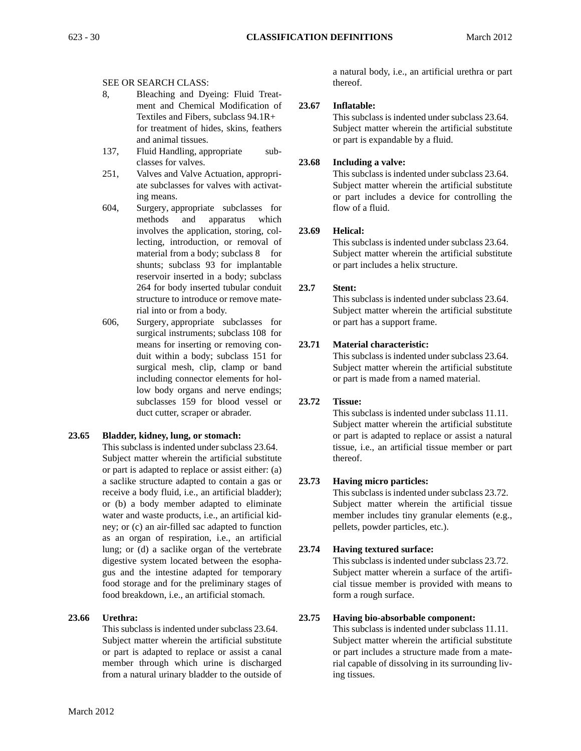## SEE OR SEARCH CLASS:

- 8, Bleaching and Dyeing: Fluid Treatment and Chemical Modification of Textiles and Fibers, subclass 94.1R+ for treatment of hides, skins, feathers and animal tissues.
- 137, Fluid Handling, appropriate subclasses for valves.
- 251, Valves and Valve Actuation, appropriate subclasses for valves with activating means.
- material from a body; subclass 8 for rial into or from a body. 604, Surgery, appropriate subclasses for methods and apparatus which involves the application, storing, collecting, introduction, or removal of shunts; subclass 93 for implantable reservoir inserted in a body; subclass 264 for body inserted tubular conduit structure to introduce or remove mate-
- 606, Surgery, appropriate subclasses for surgical instruments; subclass 108 for means for inserting or removing conduit within a body; subclass 151 for surgical mesh, clip, clamp or band including connector elements for hollow body organs and nerve endings; subclasses 159 for blood vessel or duct cutter, scraper or abrader.

# **23.65 Bladder, kidney, lung, or stomach:**

This subclass is indented under subclass 23.64. Subject matter wherein the artificial substitute or part is adapted to replace or assist either: (a) a saclike structure adapted to contain a gas or receive a body fluid, i.e., an artificial bladder); or (b) a body member adapted to eliminate water and waste products, i.e., an artificial kidney; or (c) an air-filled sac adapted to function as an organ of respiration, i.e., an artificial lung; or (d) a saclike organ of the vertebrate digestive system located between the esophagus and the intestine adapted for temporary food storage and for the preliminary stages of food breakdown, i.e., an artificial stomach.

# **23.66 Urethra:**

This subclass is indented under subclass 23.64. Subject matter wherein the artificial substitute or part is adapted to replace or assist a canal member through which urine is discharged from a natural urinary bladder to the outside of a natural body, i.e., an artificial urethra or part thereof.

## **23.67 Inflatable:**

 or part is expandable by a fluid. This subclass is indented under subclass 23.64. Subject matter wherein the artificial substitute

## **23.68 Including a valve:**

This subclass is indented under subclass 23.64. Subject matter wherein the artificial substitute or part includes a device for controlling the flow of a fluid.

## **23.69 Helical:**

This subclass is indented under subclass 23.64. Subject matter wherein the artificial substitute or part includes a helix structure.

# **23.7 Stent:**

This subclass is indented under subclass 23.64. Subject matter wherein the artificial substitute or part has a support frame.

# **23.71 Material characteristic:**

This subclass is indented under subclass 23.64. Subject matter wherein the artificial substitute or part is made from a named material.

# **23.72 Tissue:**

This subclass is indented under subclass 11.11. Subject matter wherein the artificial substitute or part is adapted to replace or assist a natural tissue, i.e., an artificial tissue member or part thereof.

# **23.73 Having micro particles:**

This subclass is indented under subclass 23.72. Subject matter wherein the artificial tissue member includes tiny granular elements (e.g., pellets, powder particles, etc.).

# **23.74 Having textured surface:**

This subclass is indented under subclass 23.72. Subject matter wherein a surface of the artificial tissue member is provided with means to form a rough surface.

#### **23.75 Having bio-absorbable component:**

This subclass is indented under subclass 11.11. Subject matter wherein the artificial substitute or part includes a structure made from a material capable of dissolving in its surrounding living tissues.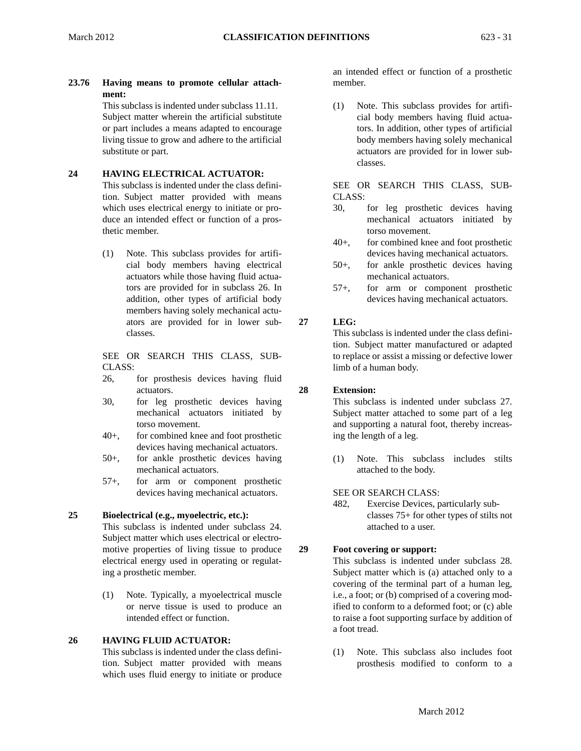**23.76 Having means to promote cellular attachment:**  This subclass is indented under subclass 11.11.

Subject matter wherein the artificial substitute or part includes a means adapted to encourage living tissue to grow and adhere to the artificial substitute or part.

# **24 HAVING ELECTRICAL ACTUATOR:**

This subclass is indented under the class definition. Subject matter provided with means which uses electrical energy to initiate or produce an intended effect or function of a prosthetic member.

(1) Note. This subclass provides for artificial body members having electrical actuators while those having fluid actuators are provided for in subclass 26. In addition, other types of artificial body members having solely mechanical actuators are provided for in lower sub- **27**  classes.

SEE OR SEARCH THIS CLASS, SUB-CLASS:

- 26, for prosthesis devices having fluid actuators. **28**
- 30, for leg prosthetic devices having mechanical actuators initiated by torso movement.
- 40+, for combined knee and foot prosthetic devices having mechanical actuators.
- 50+, for ankle prosthetic devices having mechanical actuators.
- 57+, for arm or component prosthetic devices having mechanical actuators.

# **25 Bioelectrical (e.g., myoelectric, etc.):**

This subclass is indented under subclass 24. Subject matter which uses electrical or electromotive properties of living tissue to produce **29**  electrical energy used in operating or regulating a prosthetic member.

(1) Note. Typically, a myoelectrical muscle or nerve tissue is used to produce an intended effect or function.

# **26 HAVING FLUID ACTUATOR:**

This subclass is indented under the class definition. Subject matter provided with means which uses fluid energy to initiate or produce an intended effect or function of a prosthetic member.

(1) Note. This subclass provides for artificial body members having fluid actuators. In addition, other types of artificial body members having solely mechanical actuators are provided for in lower subclasses.

SEE OR SEARCH THIS CLASS, SUB-CLASS:

- 30, for leg prosthetic devices having mechanical actuators initiated by torso movement.
- 40+, for combined knee and foot prosthetic devices having mechanical actuators.
- 50+, for ankle prosthetic devices having mechanical actuators.
- 57+, for arm or component prosthetic devices having mechanical actuators.

# **LEG:**

This subclass is indented under the class definition. Subject matter manufactured or adapted to replace or assist a missing or defective lower limb of a human body.

# **Extension:**

This subclass is indented under subclass 27. Subject matter attached to some part of a leg and supporting a natural foot, thereby increasing the length of a leg.

(1) Note. This subclass includes stilts attached to the body.

# SEE OR SEARCH CLASS:

 classes 75+ for other types of stilts not 482, Exercise Devices, particularly subattached to a user.

# **Foot covering or support:**

 ified to conform to a deformed foot; or (c) able to raise a foot supporting surface by addition of This subclass is indented under subclass 28. Subject matter which is (a) attached only to a covering of the terminal part of a human leg, i.e., a foot; or (b) comprised of a covering moda foot tread.

(1) Note. This subclass also includes foot prosthesis modified to conform to a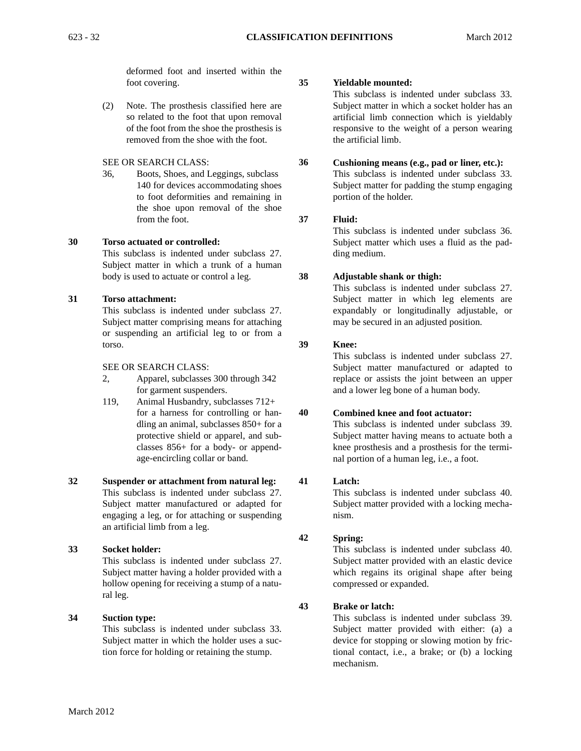deformed foot and inserted within the foot covering. **35** 

(2) Note. The prosthesis classified here are so related to the foot that upon removal of the foot from the shoe the prosthesis is removed from the shoe with the foot.

## SEE OR SEARCH CLASS: **36**

36, Boots, Shoes, and Leggings, subclass 140 for devices accommodating shoes to foot deformities and remaining in the shoe upon removal of the shoe from the foot. **37** 

## **30 Torso actuated or controlled:**

This subclass is indented under subclass 27. Subject matter in which a trunk of a human body is used to actuate or control a leg. **38** 

# **31 Torso attachment:**

This subclass is indented under subclass 27. Subject matter comprising means for attaching or suspending an artificial leg to or from a torso. **39** 

## SEE OR SEARCH CLASS:

- 2, Apparel, subclasses 300 through 342 for garment suspenders.
- 119, Animal Husbandry, subclasses 712+ for a harness for controlling or han- **40**  dling an animal, subclasses 850+ for a protective shield or apparel, and subclasses 856+ for a body- or appendage-encircling collar or band.

# **32 Suspender or attachment from natural leg: 41**  This subclass is indented under subclass 27. Subject matter manufactured or adapted for engaging a leg, or for attaching or suspending an artificial limb from a leg.

# **33 Socket holder:**

This subclass is indented under subclass 27. Subject matter having a holder provided with a hollow opening for receiving a stump of a natural leg.

# **34 Suction type:**

This subclass is indented under subclass 33. Subject matter in which the holder uses a suction force for holding or retaining the stump.

**Yieldable mounted:** 

This subclass is indented under subclass 33. Subject matter in which a socket holder has an artificial limb connection which is yieldably responsive to the weight of a person wearing the artificial limb.

#### **Cushioning means (e.g., pad or liner, etc.):**

This subclass is indented under subclass 33. Subject matter for padding the stump engaging portion of the holder.

# **Fluid:**

This subclass is indented under subclass 36. Subject matter which uses a fluid as the padding medium.

# **Adjustable shank or thigh:**

This subclass is indented under subclass 27. Subject matter in which leg elements are expandably or longitudinally adjustable, or may be secured in an adjusted position.

# **Knee:**

This subclass is indented under subclass 27. Subject matter manufactured or adapted to replace or assists the joint between an upper and a lower leg bone of a human body.

# **Combined knee and foot actuator:**

This subclass is indented under subclass 39. Subject matter having means to actuate both a knee prosthesis and a prosthesis for the terminal portion of a human leg, i.e., a foot.

# **Latch:**

This subclass is indented under subclass 40. Subject matter provided with a locking mechanism.

#### **42 Spring:**

This subclass is indented under subclass 40. Subject matter provided with an elastic device which regains its original shape after being compressed or expanded.

#### **43 Brake or latch:**

This subclass is indented under subclass 39. Subject matter provided with either: (a) a device for stopping or slowing motion by frictional contact, i.e., a brake; or (b) a locking mechanism.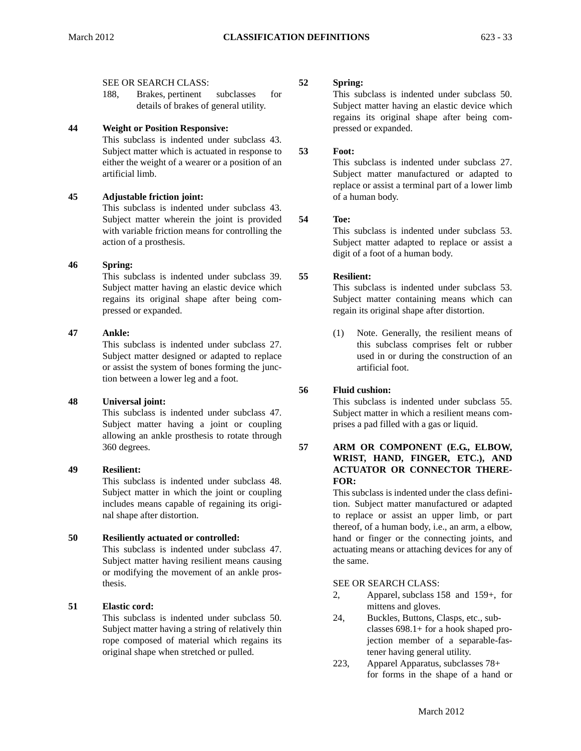#### SEE OR SEARCH CLASS: **52**

188, Brakes, pertinent subclasses for details of brakes of general utility.

# **44 Weight or Position Responsive:**

This subclass is indented under subclass 43. Subject matter which is actuated in response to either the weight of a wearer or a position of an artificial limb.

# **45 Adjustable friction joint:**

This subclass is indented under subclass 43. Subject matter wherein the joint is provided with variable friction means for controlling the action of a prosthesis.

## **46 Spring:**

This subclass is indented under subclass 39. **55**  Subject matter having an elastic device which regains its original shape after being compressed or expanded.

## **47 Ankle:**

This subclass is indented under subclass 27. Subject matter designed or adapted to replace or assist the system of bones forming the junction between a lower leg and a foot.

#### **48 Universal joint:**

 Subject matter having a joint or coupling This subclass is indented under subclass 47. allowing an ankle prosthesis to rotate through 360 degrees. **57** 

## **49 Resilient:**

This subclass is indented under subclass 48. Subject matter in which the joint or coupling includes means capable of regaining its original shape after distortion.

# **50 Resiliently actuated or controlled:**

This subclass is indented under subclass 47. Subject matter having resilient means causing or modifying the movement of an ankle prosthesis.

# **51 Elastic cord:**

This subclass is indented under subclass 50. Subject matter having a string of relatively thin rope composed of material which regains its original shape when stretched or pulled.

#### **Spring:**

This subclass is indented under subclass 50. Subject matter having an elastic device which regains its original shape after being compressed or expanded.

**53 Foot:** 

> This subclass is indented under subclass 27. Subject matter manufactured or adapted to replace or assist a terminal part of a lower limb of a human body.

#### **54 Toe:**

This subclass is indented under subclass 53. Subject matter adapted to replace or assist a digit of a foot of a human body.

# **Resilient:**

This subclass is indented under subclass 53. Subject matter containing means which can regain its original shape after distortion.

(1) Note. Generally, the resilient means of this subclass comprises felt or rubber used in or during the construction of an artificial foot.

#### **56 Fluid cushion:**

This subclass is indented under subclass 55. Subject matter in which a resilient means comprises a pad filled with a gas or liquid.

## **ARM OR COMPONENT (E.G., ELBOW, WRIST, HAND, FINGER, ETC.), AND ACTUATOR OR CONNECTOR THERE-FOR:**

This subclass is indented under the class definition. Subject matter manufactured or adapted to replace or assist an upper limb, or part thereof, of a human body, i.e., an arm, a elbow, hand or finger or the connecting joints, and actuating means or attaching devices for any of the same.

# SEE OR SEARCH CLASS:

- 2, Apparel, subclass 158 and 159+, for mittens and gloves.
- 24, Buckles, Buttons, Clasps, etc., subclasses 698.1+ for a hook shaped projection member of a separable-fastener having general utility.
- 223, Apparel Apparatus, subclasses 78+ for forms in the shape of a hand or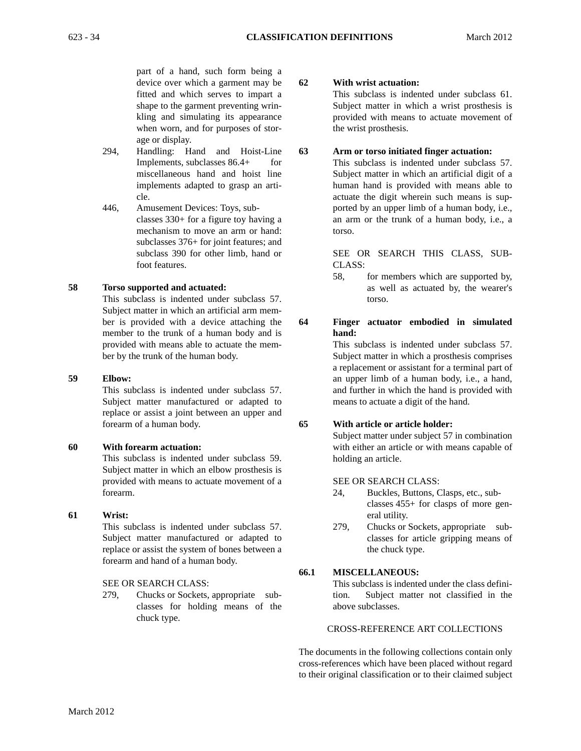part of a hand, such form being a device over which a garment may be fitted and which serves to impart a shape to the garment preventing wrinkling and simulating its appearance when worn, and for purposes of storage or display.

- 294, Handling: Hand and Hoist-Line Implements, subclasses 86.4+ for miscellaneous hand and hoist line implements adapted to grasp an article.
- 446, Amusement Devices: Toys, subclasses 330+ for a figure toy having a mechanism to move an arm or hand: subclasses 376+ for joint features; and subclass 390 for other limb, hand or foot features.

## **58 Torso supported and actuated:**

This subclass is indented under subclass 57. Subject matter in which an artificial arm member is provided with a device attaching the member to the trunk of a human body and is provided with means able to actuate the member by the trunk of the human body.

#### **59 Elbow:**

This subclass is indented under subclass 57. Subject matter manufactured or adapted to replace or assist a joint between an upper and forearm of a human body.

#### **60 With forearm actuation:**

This subclass is indented under subclass 59. Subject matter in which an elbow prosthesis is provided with means to actuate movement of a forearm.

#### **61 Wrist:**

This subclass is indented under subclass 57. Subject matter manufactured or adapted to replace or assist the system of bones between a forearm and hand of a human body.

#### SEE OR SEARCH CLASS:

279, Chucks or Sockets, appropriate subclasses for holding means of the chuck type.

# **62 With wrist actuation:**

This subclass is indented under subclass 61. Subject matter in which a wrist prosthesis is provided with means to actuate movement of the wrist prosthesis.

# **63 Arm or torso initiated finger actuation:**

This subclass is indented under subclass 57. Subject matter in which an artificial digit of a human hand is provided with means able to actuate the digit wherein such means is supported by an upper limb of a human body, i.e., an arm or the trunk of a human body, i.e., a torso.

## SEE OR SEARCH THIS CLASS, SUB-CLASS:

58, for members which are supported by, as well as actuated by, the wearer's torso.

#### **64 Finger actuator embodied in simulated hand:**

This subclass is indented under subclass 57. Subject matter in which a prosthesis comprises a replacement or assistant for a terminal part of an upper limb of a human body, i.e., a hand, and further in which the hand is provided with means to actuate a digit of the hand.

#### **65 With article or article holder:**

Subject matter under subject 57 in combination with either an article or with means capable of holding an article.

#### SEE OR SEARCH CLASS:

- 24, Buckles, Buttons, Clasps, etc., subclasses 455+ for clasps of more general utility.
- 279, Chucks or Sockets, appropriate subclasses for article gripping means of the chuck type.

#### **66.1 MISCELLANEOUS:**

This subclass is indented under the class definition. Subject matter not classified in the above subclasses.

# CROSS-REFERENCE ART COLLECTIONS

The documents in the following collections contain only cross-references which have been placed without regard to their original classification or to their claimed subject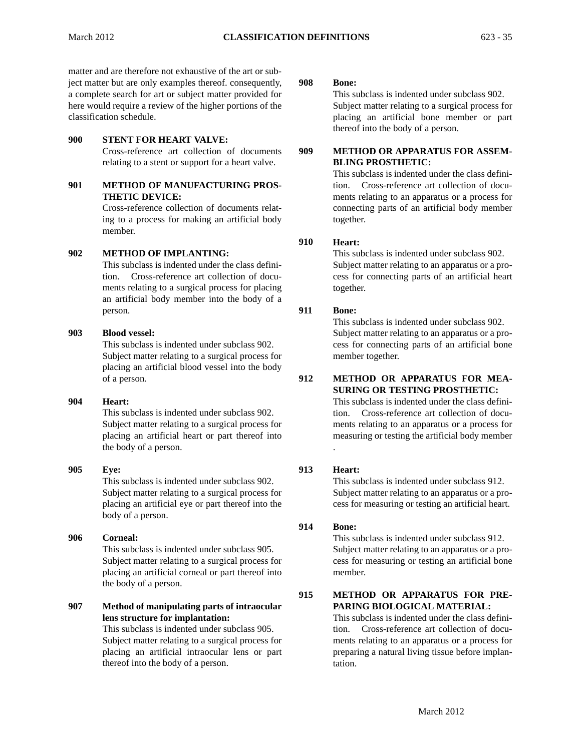matter and are therefore not exhaustive of the art or subject matter but are only examples thereof. consequently, **908**  a complete search for art or subject matter provided for here would require a review of the higher portions of the classification schedule.

# **900 STENT FOR HEART VALVE:**

Cross-reference art collection of documents **909**  relating to a stent or support for a heart valve.

## **901 METHOD OF MANUFACTURING PROS-THETIC DEVICE:**

Cross-reference collection of documents relating to a process for making an artificial body member.

## **902 METHOD OF IMPLANTING:**

This subclass is indented under the class definition. Cross-reference art collection of documents relating to a surgical process for placing an artificial body member into the body of a person. **911** 

## **903 Blood vessel:**

 placing an artificial blood vessel into the body This subclass is indented under subclass 902. Subject matter relating to a surgical process for of a person. **912** 

# **904 Heart:**

This subclass is indented under subclass 902. Subject matter relating to a surgical process for placing an artificial heart or part thereof into the body of a person.

# **905 Eye: 913**  This subclass is indented under subclass 902. Subject matter relating to a surgical process for placing an artificial eye or part thereof into the body of a person.

# **906 Corneal:**  This subclass is indented under subclass 905. Subject matter relating to a surgical process for placing an artificial corneal or part thereof into the body of a person.

# **907 Method of manipulating parts of intraocular lens structure for implantation:**

This subclass is indented under subclass 905. Subject matter relating to a surgical process for placing an artificial intraocular lens or part thereof into the body of a person.

#### **Bone:**

This subclass is indented under subclass 902. Subject matter relating to a surgical process for placing an artificial bone member or part thereof into the body of a person.

# **METHOD OR APPARATUS FOR ASSEM-BLING PROSTHETIC:**

This subclass is indented under the class definition. Cross-reference art collection of documents relating to an apparatus or a process for connecting parts of an artificial body member together.

#### **910 Heart:**

This subclass is indented under subclass 902. Subject matter relating to an apparatus or a process for connecting parts of an artificial heart together.

## **Bone:**

This subclass is indented under subclass 902. Subject matter relating to an apparatus or a process for connecting parts of an artificial bone member together.

## **METHOD OR APPARATUS FOR MEA-SURING OR TESTING PROSTHETIC:**

 measuring or testing the artificial body member This subclass is indented under the class definition. Cross-reference art collection of documents relating to an apparatus or a process for .

## **Heart:**

This subclass is indented under subclass 912. Subject matter relating to an apparatus or a process for measuring or testing an artificial heart.

#### **914 Bone:**

This subclass is indented under subclass 912. Subject matter relating to an apparatus or a process for measuring or testing an artificial bone member.

#### **915 METHOD OR APPARATUS FOR PRE-PARING BIOLOGICAL MATERIAL:**

This subclass is indented under the class definition. Cross-reference art collection of documents relating to an apparatus or a process for preparing a natural living tissue before implantation.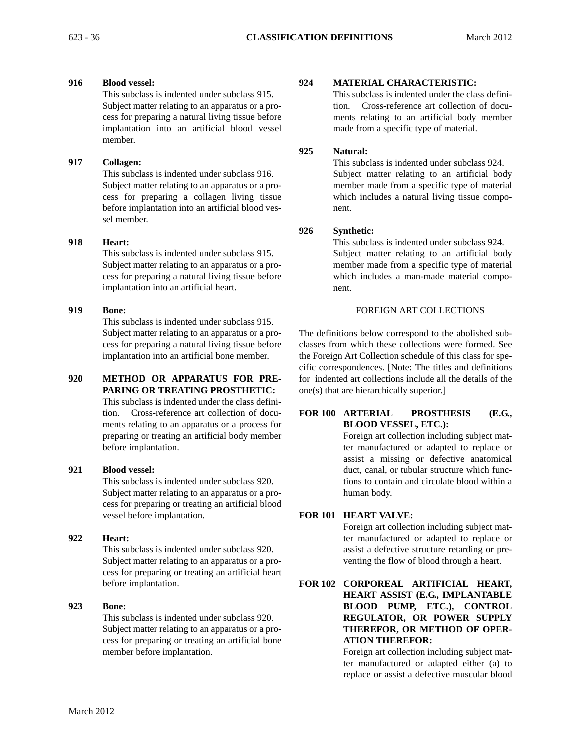# **916 Blood vessel:**

This subclass is indented under subclass 915. Subject matter relating to an apparatus or a process for preparing a natural living tissue before implantation into an artificial blood vessel member.

# **917 Collagen:**

This subclass is indented under subclass 916. Subject matter relating to an apparatus or a process for preparing a collagen living tissue before implantation into an artificial blood vessel member.

# **918 Heart:**

This subclass is indented under subclass 915. Subject matter relating to an apparatus or a process for preparing a natural living tissue before implantation into an artificial heart.

# **919 Bone:**

This subclass is indented under subclass 915. Subject matter relating to an apparatus or a process for preparing a natural living tissue before implantation into an artificial bone member.

# **920 METHOD OR APPARATUS FOR PRE-PARING OR TREATING PROSTHETIC:**

This subclass is indented under the class definition. Cross-reference art collection of documents relating to an apparatus or a process for preparing or treating an artificial body member before implantation.

# **921 Blood vessel:**

This subclass is indented under subclass 920. Subject matter relating to an apparatus or a process for preparing or treating an artificial blood vessel before implantation.

# **922 Heart:**

This subclass is indented under subclass 920. Subject matter relating to an apparatus or a process for preparing or treating an artificial heart before implantation.

# **923 Bone:**

 cess for preparing or treating an artificial bone This subclass is indented under subclass 920. Subject matter relating to an apparatus or a promember before implantation.

# **924 MATERIAL CHARACTERISTIC:**

This subclass is indented under the class definition. Cross-reference art collection of documents relating to an artificial body member made from a specific type of material.

# **925 Natural:**

This subclass is indented under subclass 924. Subject matter relating to an artificial body member made from a specific type of material which includes a natural living tissue component.

# **926 Synthetic:**

This subclass is indented under subclass 924. Subject matter relating to an artificial body member made from a specific type of material which includes a man-made material component.

# FOREIGN ART COLLECTIONS

The definitions below correspond to the abolished subclasses from which these collections were formed. See the Foreign Art Collection schedule of this class for specific correspondences. [Note: The titles and definitions for indented art collections include all the details of the one(s) that are hierarchically superior.]

# **FOR 100 ARTERIAL PROSTHESIS (E.G., BLOOD VESSEL, ETC.):**

Foreign art collection including subject matter manufactured or adapted to replace or assist a missing or defective anatomical duct, canal, or tubular structure which functions to contain and circulate blood within a human body.

# **FOR 101 HEART VALVE:**

Foreign art collection including subject matter manufactured or adapted to replace or assist a defective structure retarding or preventing the flow of blood through a heart.

**FOR 102 CORPOREAL ARTIFICIAL HEART, HEART ASSIST (E.G., IMPLANTABLE BLOOD PUMP, ETC.), CONTROL REGULATOR, OR POWER SUPPLY THEREFOR, OR METHOD OF OPER-ATION THEREFOR:** 

> Foreign art collection including subject matter manufactured or adapted either (a) to replace or assist a defective muscular blood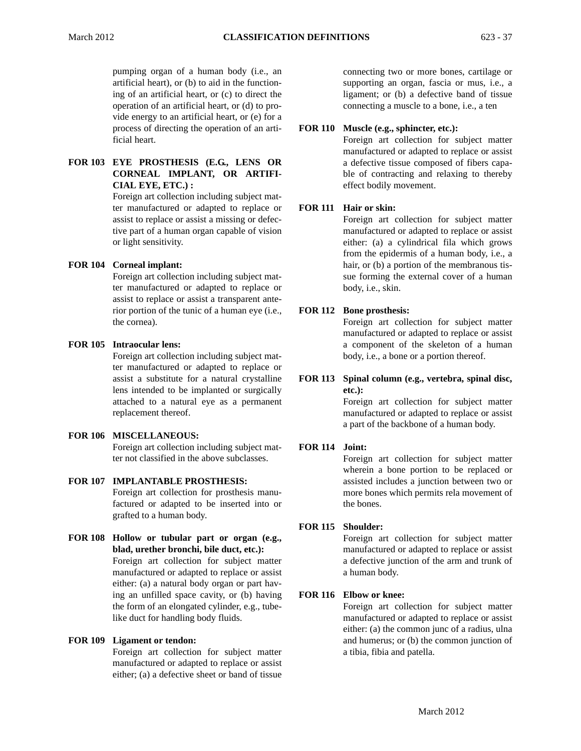pumping organ of a human body (i.e., an artificial heart), or (b) to aid in the functioning of an artificial heart, or (c) to direct the operation of an artificial heart, or (d) to provide energy to an artificial heart, or (e) for a process of directing the operation of an artificial heart.

## **FOR 103 EYE PROSTHESIS (E.G., LENS OR CORNEAL IMPLANT, OR ARTIFI-CIAL EYE, ETC.) :**

Foreign art collection including subject matter manufactured or adapted to replace or assist to replace or assist a missing or defective part of a human organ capable of vision or light sensitivity.

# **FOR 104 Corneal implant:**

Foreign art collection including subject matter manufactured or adapted to replace or assist to replace or assist a transparent anterior portion of the tunic of a human eye (i.e., the cornea).

## **FOR 105 Intraocular lens:**

Foreign art collection including subject matter manufactured or adapted to replace or assist a substitute for a natural crystalline lens intended to be implanted or surgically attached to a natural eye as a permanent replacement thereof.

# **FOR 106 MISCELLANEOUS:**

Foreign art collection including subject matter not classified in the above subclasses.

# **FOR 107 IMPLANTABLE PROSTHESIS:**  Foreign art collection for prosthesis manufactured or adapted to be inserted into or grafted to a human body.

**FOR 108 Hollow or tubular part or organ (e.g., blad, urether bronchi, bile duct, etc.):** 

Foreign art collection for subject matter manufactured or adapted to replace or assist either: (a) a natural body organ or part having an unfilled space cavity, or (b) having the form of an elongated cylinder, e.g., tubelike duct for handling body fluids.

# **FOR 109 Ligament or tendon:**

Foreign art collection for subject matter manufactured or adapted to replace or assist either; (a) a defective sheet or band of tissue connecting two or more bones, cartilage or supporting an organ, fascia or mus, i.e., a ligament; or (b) a defective band of tissue connecting a muscle to a bone, i.e., a ten

## **FOR 110 Muscle (e.g., sphincter, etc.):**

Foreign art collection for subject matter manufactured or adapted to replace or assist a defective tissue composed of fibers capable of contracting and relaxing to thereby effect bodily movement.

## **FOR 111 Hair or skin:**

Foreign art collection for subject matter manufactured or adapted to replace or assist either: (a) a cylindrical fila which grows from the epidermis of a human body, i.e., a hair, or (b) a portion of the membranous tissue forming the external cover of a human body, i.e., skin.

## **FOR 112 Bone prosthesis:**

Foreign art collection for subject matter manufactured or adapted to replace or assist a component of the skeleton of a human body, i.e., a bone or a portion thereof.

# **FOR 113 Spinal column (e.g., vertebra, spinal disc, etc.):**

Foreign art collection for subject matter manufactured or adapted to replace or assist a part of the backbone of a human body.

#### **FOR 114 Joint:**

Foreign art collection for subject matter wherein a bone portion to be replaced or assisted includes a junction between two or more bones which permits rela movement of the bones.

#### **FOR 115 Shoulder:**

Foreign art collection for subject matter manufactured or adapted to replace or assist a defective junction of the arm and trunk of a human body.

# **FOR 116 Elbow or knee:**

Foreign art collection for subject matter manufactured or adapted to replace or assist either: (a) the common junc of a radius, ulna and humerus; or (b) the common junction of a tibia, fibia and patella.